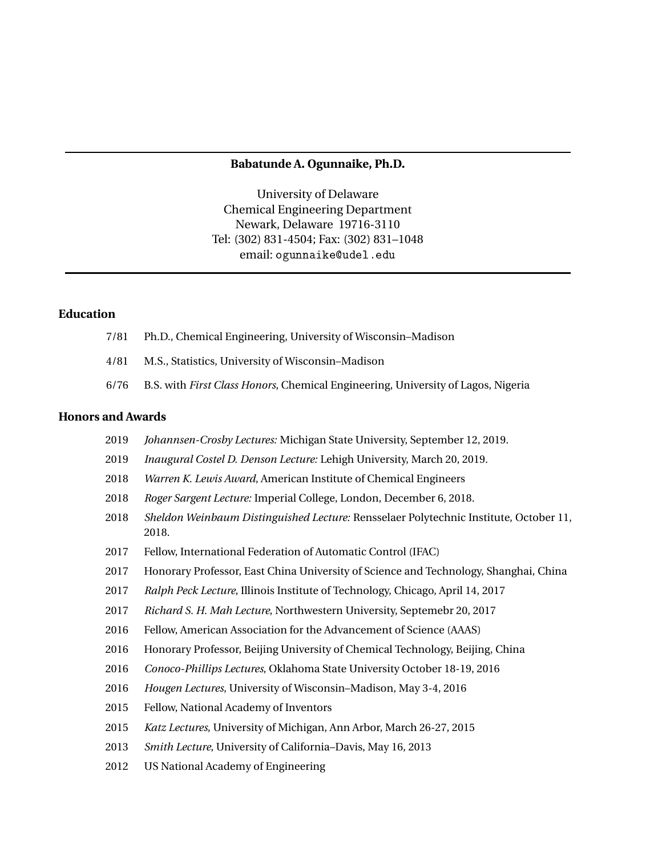#### **Babatunde A. Ogunnaike, Ph.D.**

University of Delaware Chemical Engineering Department Newark, Delaware 19716-3110 Tel: (302) 831-4504; Fax: (302) 831–1048 email: ogunnaike@udel.edu

## **Education**

- 7/81 Ph.D., Chemical Engineering, University of Wisconsin–Madison
- 4/81 M.S., Statistics, University of Wisconsin–Madison
- 6/76 B.S. with *First Class Honors*, Chemical Engineering, University of Lagos, Nigeria

#### **Honors and Awards**

- 2019 *Johannsen-Crosby Lectures:* Michigan State University, September 12, 2019.
- 2019 *Inaugural Costel D. Denson Lecture:* Lehigh University, March 20, 2019.
- 2018 *Warren K. Lewis Award*, American Institute of Chemical Engineers
- 2018 *Roger Sargent Lecture:* Imperial College, London, December 6, 2018.
- 2018 *Sheldon Weinbaum Distinguished Lecture:* Rensselaer Polytechnic Institute, October 11, 2018.
- 2017 Fellow, International Federation of Automatic Control (IFAC)
- 2017 Honorary Professor, East China University of Science and Technology, Shanghai, China
- 2017 *Ralph Peck Lecture*, Illinois Institute of Technology, Chicago, April 14, 2017
- 2017 *Richard S. H. Mah Lecture*, Northwestern University, Septemebr 20, 2017
- 2016 Fellow, American Association for the Advancement of Science (AAAS)
- 2016 Honorary Professor, Beijing University of Chemical Technology, Beijing, China
- 2016 *Conoco-Phillips Lectures*, Oklahoma State University October 18-19, 2016
- 2016 *Hougen Lectures*, University of Wisconsin–Madison, May 3-4, 2016
- 2015 Fellow, National Academy of Inventors
- 2015 *Katz Lectures*, University of Michigan, Ann Arbor, March 26-27, 2015
- 2013 *Smith Lecture*, University of California–Davis, May 16, 2013
- 2012 US National Academy of Engineering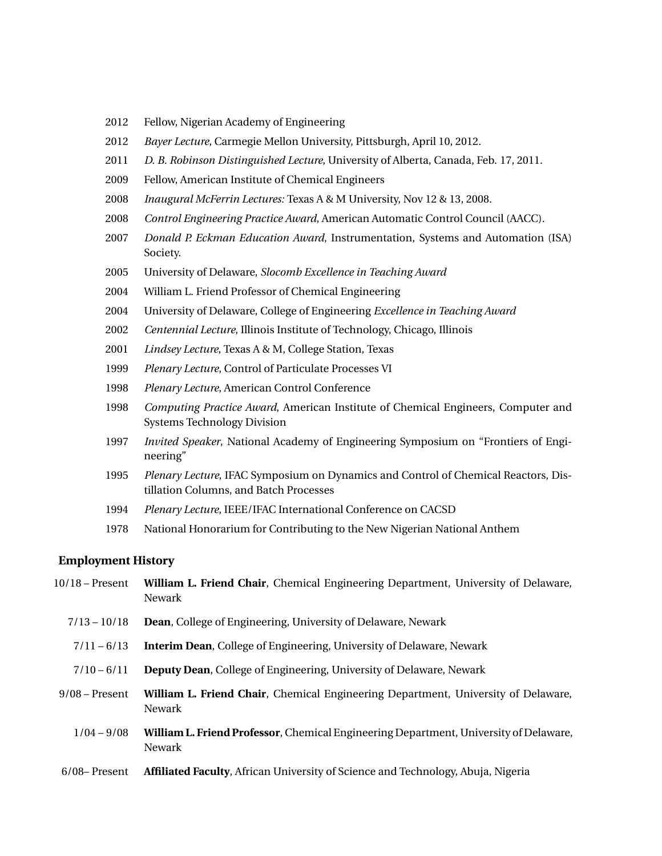- 2012 Fellow, Nigerian Academy of Engineering
- 2012 *Bayer Lecture*, Carmegie Mellon University, Pittsburgh, April 10, 2012.
- 2011 *D. B. Robinson Distinguished Lecture*, University of Alberta, Canada, Feb. 17, 2011.
- 2009 Fellow, American Institute of Chemical Engineers
- 2008 *Inaugural McFerrin Lectures:* Texas A & M University, Nov 12 & 13, 2008.
- 2008 *Control Engineering Practice Award*, American Automatic Control Council (AACC).
- 2007 *Donald P. Eckman Education Award*, Instrumentation, Systems and Automation (ISA) Society.
- 2005 University of Delaware, *Slocomb Excellence in Teaching Award*
- 2004 William L. Friend Professor of Chemical Engineering
- 2004 University of Delaware, College of Engineering *Excellence in Teaching Award*
- 2002 *Centennial Lecture*, Illinois Institute of Technology, Chicago, Illinois
- 2001 *Lindsey Lecture*, Texas A & M, College Station, Texas
- 1999 *Plenary Lecture*, Control of Particulate Processes VI
- 1998 *Plenary Lecture*, American Control Conference
- 1998 *Computing Practice Award*, American Institute of Chemical Engineers, Computer and Systems Technology Division
- 1997 *Invited Speaker*, National Academy of Engineering Symposium on "Frontiers of Engineering"
- 1995 *Plenary Lecture*, IFAC Symposium on Dynamics and Control of Chemical Reactors, Distillation Columns, and Batch Processes
- 1994 *Plenary Lecture*, IEEE/IFAC International Conference on CACSD
- 1978 National Honorarium for Contributing to the New Nigerian National Anthem

#### **Employment History**

10/18 – Present **William L. Friend Chair**, Chemical Engineering Department, University of Delaware, Newark 7/13 – 10/18 **Dean**, College of Engineering, University of Delaware, Newark 7/11 – 6/13 **Interim Dean**, College of Engineering, University of Delaware, Newark 7/10 – 6/11 **Deputy Dean**, College of Engineering, University of Delaware, Newark 9/08 – Present **William L. Friend Chair**, Chemical Engineering Department, University of Delaware, Newark 1/04 – 9/08 **William L. Friend Professor**, Chemical Engineering Department, University of Delaware, Newark 6/08– Present **Affiliated Faculty**, African University of Science and Technology, Abuja, Nigeria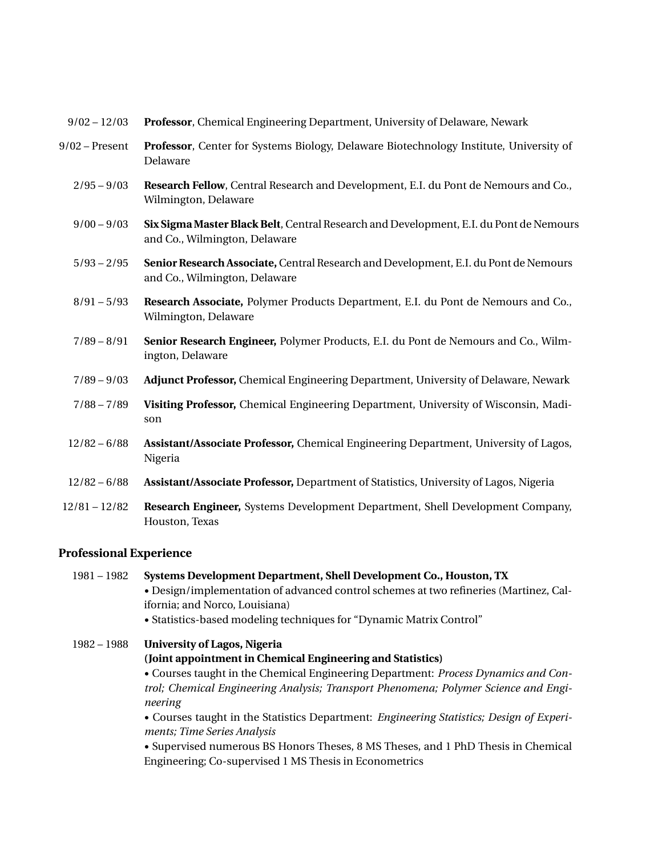| 9/02 - 12/03 Professor, Chemical Engineering Department, University of Delaware, Newark |  |
|-----------------------------------------------------------------------------------------|--|
|                                                                                         |  |

- 9/02 Present **Professor**, Center for Systems Biology, Delaware Biotechnology Institute, University of Delaware
	- 2/95 9/03 **Research Fellow**, Central Research and Development, E.I. du Pont de Nemours and Co., Wilmington, Delaware
	- 9/00 9/03 **Six Sigma Master Black Belt**, Central Research and Development, E.I. du Pont de Nemours and Co., Wilmington, Delaware
	- 5/93 2/95 **Senior Research Associate,** Central Research and Development, E.I. du Pont de Nemours and Co., Wilmington, Delaware
	- 8/91 5/93 **Research Associate,** Polymer Products Department, E.I. du Pont de Nemours and Co., Wilmington, Delaware
	- 7/89 8/91 **Senior Research Engineer,** Polymer Products, E.I. du Pont de Nemours and Co., Wilmington, Delaware
	- 7/89 9/03 **Adjunct Professor,** Chemical Engineering Department, University of Delaware, Newark
	- 7/88 7/89 **Visiting Professor,** Chemical Engineering Department, University of Wisconsin, Madison
	- 12/82 6/88 **Assistant/Associate Professor,** Chemical Engineering Department, University of Lagos, Nigeria
	- 12/82 6/88 **Assistant/Associate Professor,** Department of Statistics, University of Lagos, Nigeria
- 12/81 12/82 **Research Engineer,** Systems Development Department, Shell Development Company, Houston, Texas

## **Professional Experience**

1981 – 1982 **Systems Development Department, Shell Development Co., Houston, TX** • Design/implementation of advanced control schemes at two refineries (Martinez, California; and Norco, Louisiana) • Statistics-based modeling techniques for "Dynamic Matrix Control" 1982 – 1988 **University of Lagos, Nigeria (Joint appointment in Chemical Engineering and Statistics)** • Courses taught in the Chemical Engineering Department: *Process Dynamics and Con-*

*trol; Chemical Engineering Analysis; Transport Phenomena; Polymer Science and Engineering*

• Courses taught in the Statistics Department: *Engineering Statistics; Design of Experiments; Time Series Analysis*

• Supervised numerous BS Honors Theses, 8 MS Theses, and 1 PhD Thesis in Chemical Engineering; Co-supervised 1 MS Thesis in Econometrics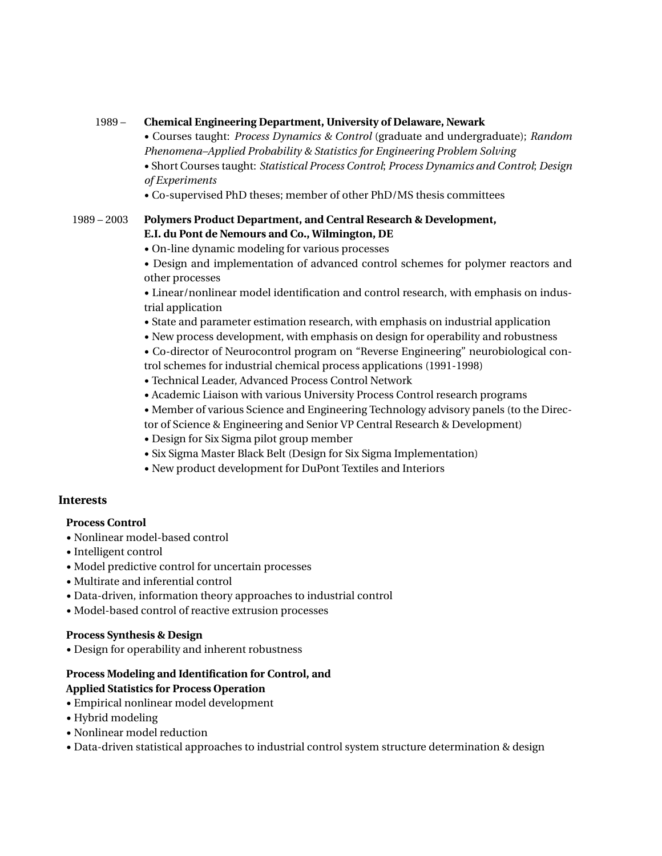## 1989 – **Chemical Engineering Department, University of Delaware, Newark**

• Courses taught: *Process Dynamics & Control* (graduate and undergraduate); *Random Phenomena–Applied Probability & Statistics for Engineering Problem Solving*

- Short Courses taught: *Statistical Process Control*; *Process Dynamics and Control*; *Design of Experiments*
- Co-supervised PhD theses; member of other PhD/MS thesis committees

# 1989 – 2003 **Polymers Product Department, and Central Research & Development, E.I. du Pont de Nemours and Co., Wilmington, DE**

- On-line dynamic modeling for various processes
- Design and implementation of advanced control schemes for polymer reactors and other processes

• Linear/nonlinear model identification and control research, with emphasis on industrial application

- State and parameter estimation research, with emphasis on industrial application
- New process development, with emphasis on design for operability and robustness
- Co-director of Neurocontrol program on "Reverse Engineering" neurobiological control schemes for industrial chemical process applications (1991-1998)
- Technical Leader, Advanced Process Control Network
- Academic Liaison with various University Process Control research programs
- Member of various Science and Engineering Technology advisory panels (to the Direc-
- tor of Science & Engineering and Senior VP Central Research & Development)
- Design for Six Sigma pilot group member
- Six Sigma Master Black Belt (Design for Six Sigma Implementation)
- New product development for DuPont Textiles and Interiors

# **Interests**

## **Process Control**

- Nonlinear model-based control
- Intelligent control
- Model predictive control for uncertain processes
- Multirate and inferential control
- Data-driven, information theory approaches to industrial control
- Model-based control of reactive extrusion processes

## **Process Synthesis & Design**

• Design for operability and inherent robustness

## **Process Modeling and Identification for Control, and Applied Statistics for Process Operation**

- Empirical nonlinear model development
- Hybrid modeling
- Nonlinear model reduction
- Data-driven statistical approaches to industrial control system structure determination & design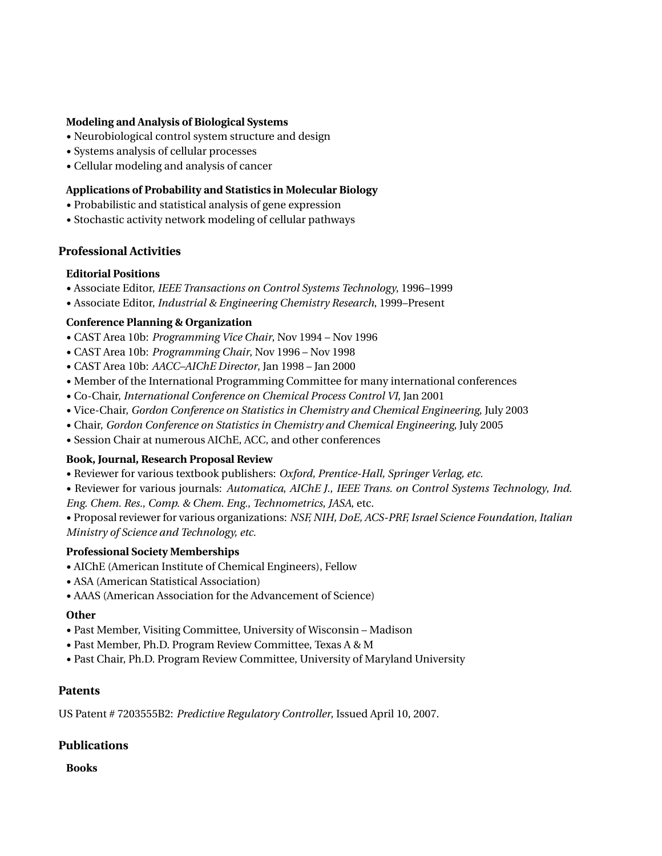#### **Modeling and Analysis of Biological Systems**

- Neurobiological control system structure and design
- Systems analysis of cellular processes
- Cellular modeling and analysis of cancer

#### **Applications of Probability and Statistics in Molecular Biology**

- Probabilistic and statistical analysis of gene expression
- Stochastic activity network modeling of cellular pathways

#### **Professional Activities**

#### **Editorial Positions**

- Associate Editor, *IEEE Transactions on Control Systems Technology*, 1996–1999
- Associate Editor, *Industrial & Engineering Chemistry Research*, 1999–Present

#### **Conference Planning & Organization**

- CAST Area 10b: *Programming Vice Chair*, Nov 1994 Nov 1996
- CAST Area 10b: *Programming Chair*, Nov 1996 Nov 1998
- CAST Area 10b: *AACC–AIChE Director*, Jan 1998 Jan 2000
- Member of the International Programming Committee for many international conferences
- Co-Chair, *International Conference on Chemical Process Control VI*, Jan 2001
- Vice-Chair, *Gordon Conference on Statistics in Chemistry and Chemical Engineering*, July 2003
- Chair, *Gordon Conference on Statistics in Chemistry and Chemical Engineering*, July 2005
- Session Chair at numerous AIChE, ACC, and other conferences

#### **Book, Journal, Research Proposal Review**

- Reviewer for various textbook publishers: *Oxford, Prentice-Hall, Springer Verlag, etc.*
- Reviewer for various journals: *Automatica*, *AIChE J.*, *IEEE Trans. on Control Systems Technology*, *Ind. Eng. Chem. Res.*, *Comp. & Chem. Eng.*, *Technometrics*, *JASA*, etc.
- Proposal reviewer for various organizations: *NSF, NIH, DoE, ACS-PRF, Israel Science Foundation, Italian Ministry of Science and Technology, etc.*

#### **Professional Society Memberships**

- AIChE (American Institute of Chemical Engineers), Fellow
- ASA (American Statistical Association)
- AAAS (American Association for the Advancement of Science)

#### **Other**

- Past Member, Visiting Committee, University of Wisconsin Madison
- Past Member, Ph.D. Program Review Committee, Texas A & M
- Past Chair, Ph.D. Program Review Committee, University of Maryland University

## **Patents**

US Patent # 7203555B2: *Predictive Regulatory Controller*, Issued April 10, 2007.

# **Publications**

**Books**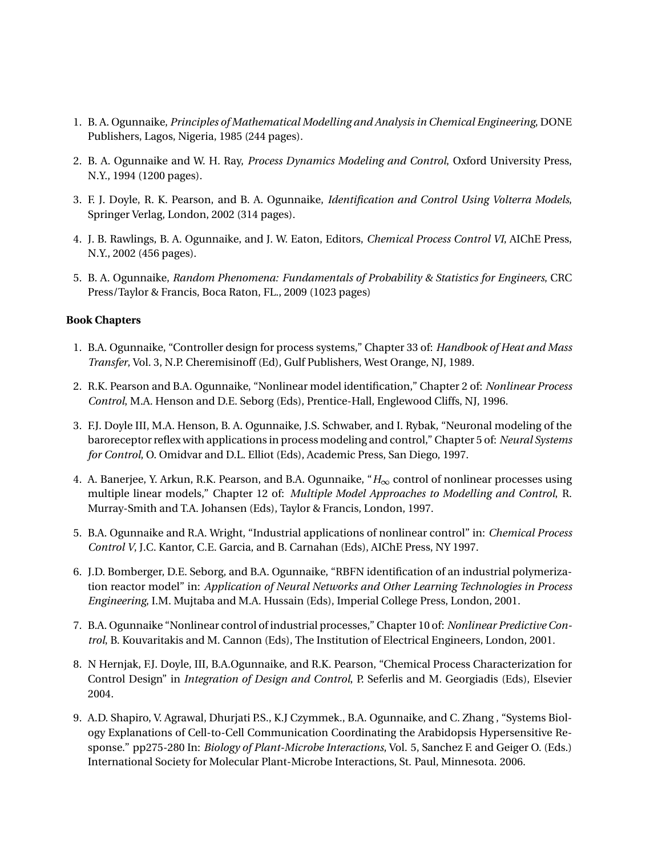- 1. B. A. Ogunnaike, *Principles of Mathematical Modelling and Analysis in Chemical Engineering*, DONE Publishers, Lagos, Nigeria, 1985 (244 pages).
- 2. B. A. Ogunnaike and W. H. Ray, *Process Dynamics Modeling and Control*, Oxford University Press, N.Y., 1994 (1200 pages).
- 3. F. J. Doyle, R. K. Pearson, and B. A. Ogunnaike, *Identification and Control Using Volterra Models*, Springer Verlag, London, 2002 (314 pages).
- 4. J. B. Rawlings, B. A. Ogunnaike, and J. W. Eaton, Editors, *Chemical Process Control VI*, AIChE Press, N.Y., 2002 (456 pages).
- 5. B. A. Ogunnaike, *Random Phenomena: Fundamentals of Probability & Statistics for Engineers*, CRC Press/Taylor & Francis, Boca Raton, FL., 2009 (1023 pages)

## **Book Chapters**

- 1. B.A. Ogunnaike, "Controller design for process systems," Chapter 33 of: *Handbook of Heat and Mass Transfer*, Vol. 3, N.P. Cheremisinoff (Ed), Gulf Publishers, West Orange, NJ, 1989.
- 2. R.K. Pearson and B.A. Ogunnaike, "Nonlinear model identification," Chapter 2 of: *Nonlinear Process Control*, M.A. Henson and D.E. Seborg (Eds), Prentice-Hall, Englewood Cliffs, NJ, 1996.
- 3. F.J. Doyle III, M.A. Henson, B. A. Ogunnaike, J.S. Schwaber, and I. Rybak, "Neuronal modeling of the baroreceptor reflex with applications in process modeling and control," Chapter 5 of: *Neural Systems for Control*, O. Omidvar and D.L. Elliot (Eds), Academic Press, San Diego, 1997.
- 4. A. Banerjee, Y. Arkun, R.K. Pearson, and B.A. Ogunnaike, "*H*∞ control of nonlinear processes using multiple linear models," Chapter 12 of: *Multiple Model Approaches to Modelling and Control*, R. Murray-Smith and T.A. Johansen (Eds), Taylor & Francis, London, 1997.
- 5. B.A. Ogunnaike and R.A. Wright, "Industrial applications of nonlinear control" in: *Chemical Process Control V*, J.C. Kantor, C.E. Garcia, and B. Carnahan (Eds), AIChE Press, NY 1997.
- 6. J.D. Bomberger, D.E. Seborg, and B.A. Ogunnaike, "RBFN identification of an industrial polymerization reactor model" in: *Application of Neural Networks and Other Learning Technologies in Process Engineering*, I.M. Mujtaba and M.A. Hussain (Eds), Imperial College Press, London, 2001.
- 7. B.A. Ogunnaike "Nonlinear control of industrial processes," Chapter 10 of: *Nonlinear Predictive Control*, B. Kouvaritakis and M. Cannon (Eds), The Institution of Electrical Engineers, London, 2001.
- 8. N Hernjak, F.J. Doyle, III, B.A.Ogunnaike, and R.K. Pearson, "Chemical Process Characterization for Control Design" in *Integration of Design and Control*, P. Seferlis and M. Georgiadis (Eds), Elsevier 2004.
- 9. A.D. Shapiro, V. Agrawal, Dhurjati P.S., K.J Czymmek., B.A. Ogunnaike, and C. Zhang , "Systems Biology Explanations of Cell-to-Cell Communication Coordinating the Arabidopsis Hypersensitive Response." pp275-280 In: *Biology of Plant-Microbe Interactions*, Vol. 5, Sanchez F. and Geiger O. (Eds.) International Society for Molecular Plant-Microbe Interactions, St. Paul, Minnesota. 2006.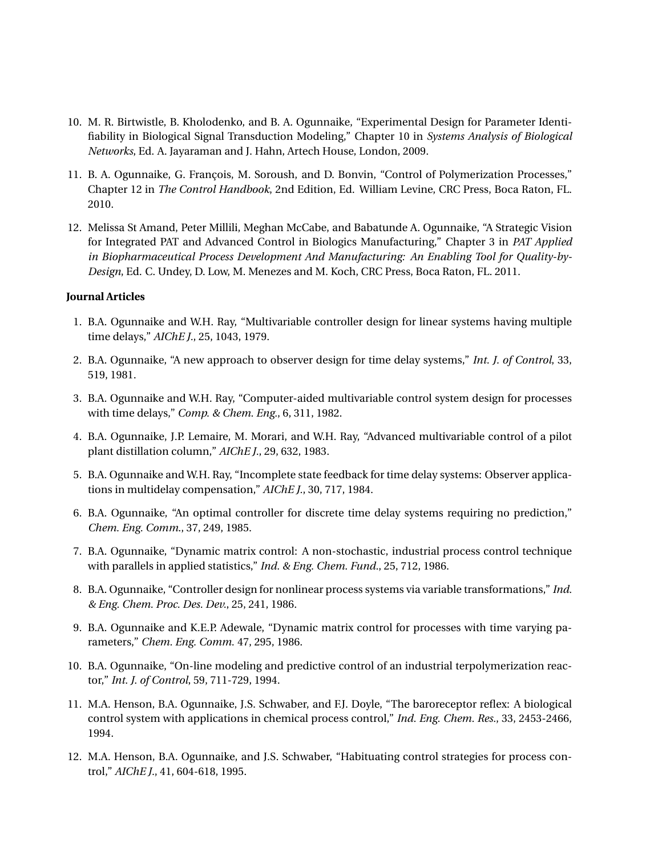- 10. M. R. Birtwistle, B. Kholodenko, and B. A. Ogunnaike, "Experimental Design for Parameter Identifiability in Biological Signal Transduction Modeling," Chapter 10 in *Systems Analysis of Biological Networks*, Ed. A. Jayaraman and J. Hahn, Artech House, London, 2009.
- 11. B. A. Ogunnaike, G. François, M. Soroush, and D. Bonvin, "Control of Polymerization Processes," Chapter 12 in *The Control Handbook*, 2nd Edition, Ed. William Levine, CRC Press, Boca Raton, FL. 2010.
- 12. Melissa St Amand, Peter Millili, Meghan McCabe, and Babatunde A. Ogunnaike, "A Strategic Vision for Integrated PAT and Advanced Control in Biologics Manufacturing," Chapter 3 in *PAT Applied in Biopharmaceutical Process Development And Manufacturing: An Enabling Tool for Quality-by-Design*, Ed. C. Undey, D. Low, M. Menezes and M. Koch, CRC Press, Boca Raton, FL. 2011.

#### **Journal Articles**

- 1. B.A. Ogunnaike and W.H. Ray, "Multivariable controller design for linear systems having multiple time delays," *AIChE J.*, 25, 1043, 1979.
- 2. B.A. Ogunnaike, "A new approach to observer design for time delay systems," *Int. J. of Control*, 33, 519, 1981.
- 3. B.A. Ogunnaike and W.H. Ray, "Computer-aided multivariable control system design for processes with time delays," *Comp. & Chem. Eng.*, 6, 311, 1982.
- 4. B.A. Ogunnaike, J.P. Lemaire, M. Morari, and W.H. Ray, "Advanced multivariable control of a pilot plant distillation column," *AIChE J.*, 29, 632, 1983.
- 5. B.A. Ogunnaike and W.H. Ray, "Incomplete state feedback for time delay systems: Observer applications in multidelay compensation," *AIChE J.*, 30, 717, 1984.
- 6. B.A. Ogunnaike, "An optimal controller for discrete time delay systems requiring no prediction," *Chem. Eng. Comm*., 37, 249, 1985.
- 7. B.A. Ogunnaike, "Dynamic matrix control: A non-stochastic, industrial process control technique with parallels in applied statistics," *Ind. & Eng. Chem. Fund.*, 25, 712, 1986.
- 8. B.A. Ogunnaike, "Controller design for nonlinear process systems via variable transformations," *Ind. & Eng. Chem. Proc. Des. Dev.*, 25, 241, 1986.
- 9. B.A. Ogunnaike and K.E.P. Adewale, "Dynamic matrix control for processes with time varying parameters," *Chem. Eng. Comm.* 47, 295, 1986.
- 10. B.A. Ogunnaike, "On-line modeling and predictive control of an industrial terpolymerization reactor," *Int. J. of Control*, 59, 711-729, 1994.
- 11. M.A. Henson, B.A. Ogunnaike, J.S. Schwaber, and F.J. Doyle, "The baroreceptor reflex: A biological control system with applications in chemical process control," *Ind. Eng. Chem. Res.*, 33, 2453-2466, 1994.
- 12. M.A. Henson, B.A. Ogunnaike, and J.S. Schwaber, "Habituating control strategies for process control," *AIChE J.*, 41, 604-618, 1995.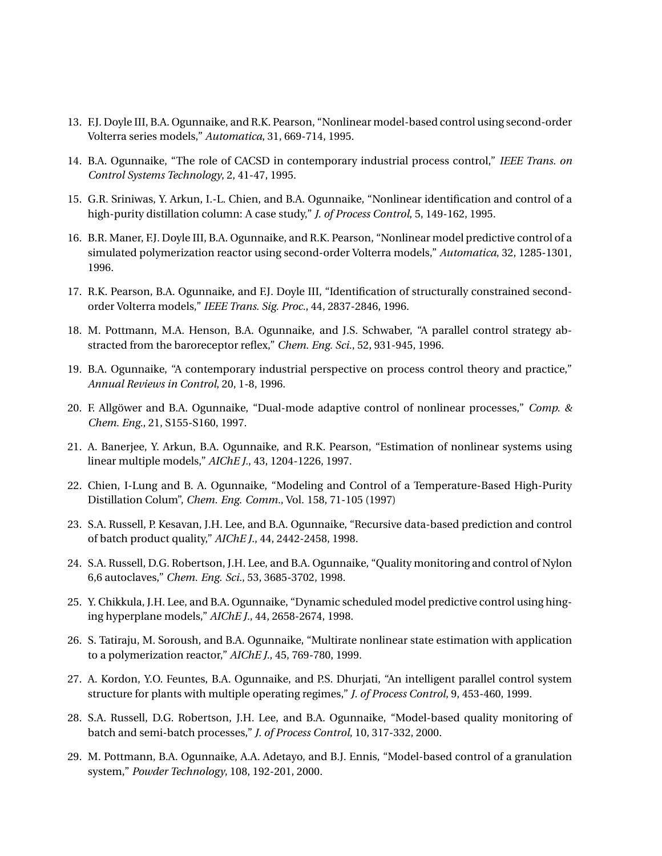- 13. F.J. Doyle III, B.A. Ogunnaike, and R.K. Pearson, "Nonlinear model-based control using second-order Volterra series models," *Automatica*, 31, 669-714, 1995.
- 14. B.A. Ogunnaike, "The role of CACSD in contemporary industrial process control," *IEEE Trans. on Control Systems Technology*, 2, 41-47, 1995.
- 15. G.R. Sriniwas, Y. Arkun, I.-L. Chien, and B.A. Ogunnaike, "Nonlinear identification and control of a high-purity distillation column: A case study," *J. of Process Control*, 5, 149-162, 1995.
- 16. B.R. Maner, F.J. Doyle III, B.A. Ogunnaike, and R.K. Pearson, "Nonlinear model predictive control of a simulated polymerization reactor using second-order Volterra models," *Automatica*, 32, 1285-1301, 1996.
- 17. R.K. Pearson, B.A. Ogunnaike, and F.J. Doyle III, "Identification of structurally constrained secondorder Volterra models," *IEEE Trans. Sig. Proc.*, 44, 2837-2846, 1996.
- 18. M. Pottmann, M.A. Henson, B.A. Ogunnaike, and J.S. Schwaber, "A parallel control strategy abstracted from the baroreceptor reflex," *Chem. Eng. Sci.*, 52, 931-945, 1996.
- 19. B.A. Ogunnaike, "A contemporary industrial perspective on process control theory and practice," *Annual Reviews in Control*, 20, 1-8, 1996.
- 20. F. Allgöwer and B.A. Ogunnaike, "Dual-mode adaptive control of nonlinear processes," *Comp. & Chem. Eng.*, 21, S155-S160, 1997.
- 21. A. Banerjee, Y. Arkun, B.A. Ogunnaike, and R.K. Pearson, "Estimation of nonlinear systems using linear multiple models," *AIChE J.*, 43, 1204-1226, 1997.
- 22. Chien, I-Lung and B. A. Ogunnaike, "Modeling and Control of a Temperature-Based High-Purity Distillation Colum", *Chem. Eng. Comm.*, Vol. 158, 71-105 (1997)
- 23. S.A. Russell, P. Kesavan, J.H. Lee, and B.A. Ogunnaike, "Recursive data-based prediction and control of batch product quality," *AIChE J.*, 44, 2442-2458, 1998.
- 24. S.A. Russell, D.G. Robertson, J.H. Lee, and B.A. Ogunnaike, "Quality monitoring and control of Nylon 6,6 autoclaves," *Chem. Eng. Sci.*, 53, 3685-3702, 1998.
- 25. Y. Chikkula, J.H. Lee, and B.A. Ogunnaike, "Dynamic scheduled model predictive control using hinging hyperplane models," *AIChE J.*, 44, 2658-2674, 1998.
- 26. S. Tatiraju, M. Soroush, and B.A. Ogunnaike, "Multirate nonlinear state estimation with application to a polymerization reactor," *AIChE J.*, 45, 769-780, 1999.
- 27. A. Kordon, Y.O. Feuntes, B.A. Ogunnaike, and P.S. Dhurjati, "An intelligent parallel control system structure for plants with multiple operating regimes," *J. of Process Control*, 9, 453-460, 1999.
- 28. S.A. Russell, D.G. Robertson, J.H. Lee, and B.A. Ogunnaike, "Model-based quality monitoring of batch and semi-batch processes," *J. of Process Control*, 10, 317-332, 2000.
- 29. M. Pottmann, B.A. Ogunnaike, A.A. Adetayo, and B.J. Ennis, "Model-based control of a granulation system," *Powder Technology*, 108, 192-201, 2000.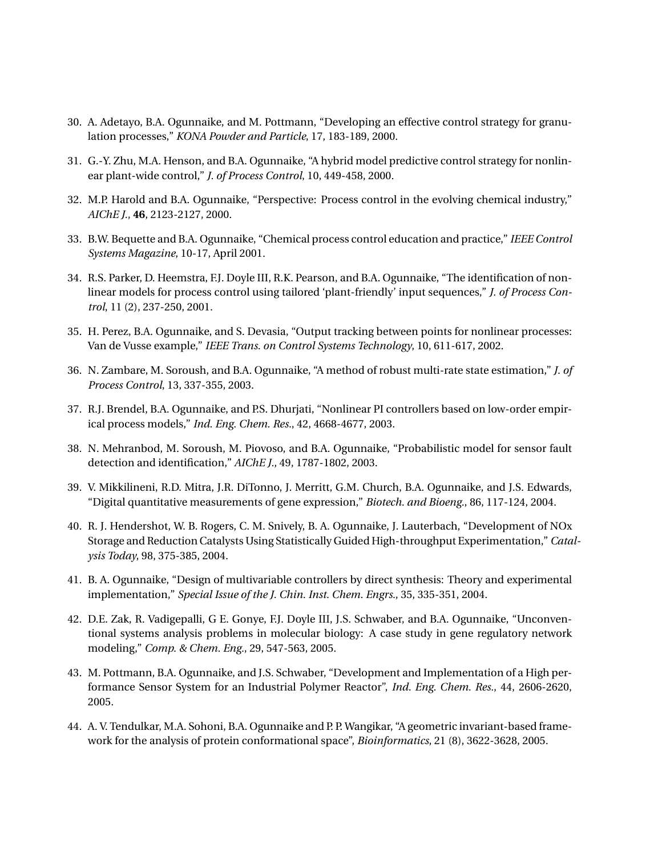- 30. A. Adetayo, B.A. Ogunnaike, and M. Pottmann, "Developing an effective control strategy for granulation processes," *KONA Powder and Particle*, 17, 183-189, 2000.
- 31. G.-Y. Zhu, M.A. Henson, and B.A. Ogunnaike, "A hybrid model predictive control strategy for nonlinear plant-wide control," *J. of Process Control*, 10, 449-458, 2000.
- 32. M.P. Harold and B.A. Ogunnaike, "Perspective: Process control in the evolving chemical industry," *AIChE J.*, **46**, 2123-2127, 2000.
- 33. B.W. Bequette and B.A. Ogunnaike, "Chemical process control education and practice," *IEEE Control Systems Magazine*, 10-17, April 2001.
- 34. R.S. Parker, D. Heemstra, F.J. Doyle III, R.K. Pearson, and B.A. Ogunnaike, "The identification of nonlinear models for process control using tailored 'plant-friendly' input sequences," *J. of Process Control*, 11 (2), 237-250, 2001.
- 35. H. Perez, B.A. Ogunnaike, and S. Devasia, "Output tracking between points for nonlinear processes: Van de Vusse example," *IEEE Trans. on Control Systems Technology*, 10, 611-617, 2002.
- 36. N. Zambare, M. Soroush, and B.A. Ogunnaike, "A method of robust multi-rate state estimation," *J. of Process Control*, 13, 337-355, 2003.
- 37. R.J. Brendel, B.A. Ogunnaike, and P.S. Dhurjati, "Nonlinear PI controllers based on low-order empirical process models," *Ind. Eng. Chem. Res.*, 42, 4668-4677, 2003.
- 38. N. Mehranbod, M. Soroush, M. Piovoso, and B.A. Ogunnaike, "Probabilistic model for sensor fault detection and identification," *AIChE J.*, 49, 1787-1802, 2003.
- 39. V. Mikkilineni, R.D. Mitra, J.R. DiTonno, J. Merritt, G.M. Church, B.A. Ogunnaike, and J.S. Edwards, "Digital quantitative measurements of gene expression," *Biotech. and Bioeng.*, 86, 117-124, 2004.
- 40. R. J. Hendershot, W. B. Rogers, C. M. Snively, B. A. Ogunnaike, J. Lauterbach, "Development of NOx Storage and Reduction Catalysts Using Statistically Guided High-throughput Experimentation," *Catalysis Today*, 98, 375-385, 2004.
- 41. B. A. Ogunnaike, "Design of multivariable controllers by direct synthesis: Theory and experimental implementation," *Special Issue of the J. Chin. Inst. Chem. Engrs.*, 35, 335-351, 2004.
- 42. D.E. Zak, R. Vadigepalli, G E. Gonye, F.J. Doyle III, J.S. Schwaber, and B.A. Ogunnaike, "Unconventional systems analysis problems in molecular biology: A case study in gene regulatory network modeling," *Comp. & Chem. Eng.*, 29, 547-563, 2005.
- 43. M. Pottmann, B.A. Ogunnaike, and J.S. Schwaber, "Development and Implementation of a High performance Sensor System for an Industrial Polymer Reactor", *Ind. Eng. Chem. Res.*, 44, 2606-2620, 2005.
- 44. A. V. Tendulkar, M.A. Sohoni, B.A. Ogunnaike and P. P. Wangikar, "A geometric invariant-based framework for the analysis of protein conformational space", *Bioinformatics*, 21 (8), 3622-3628, 2005.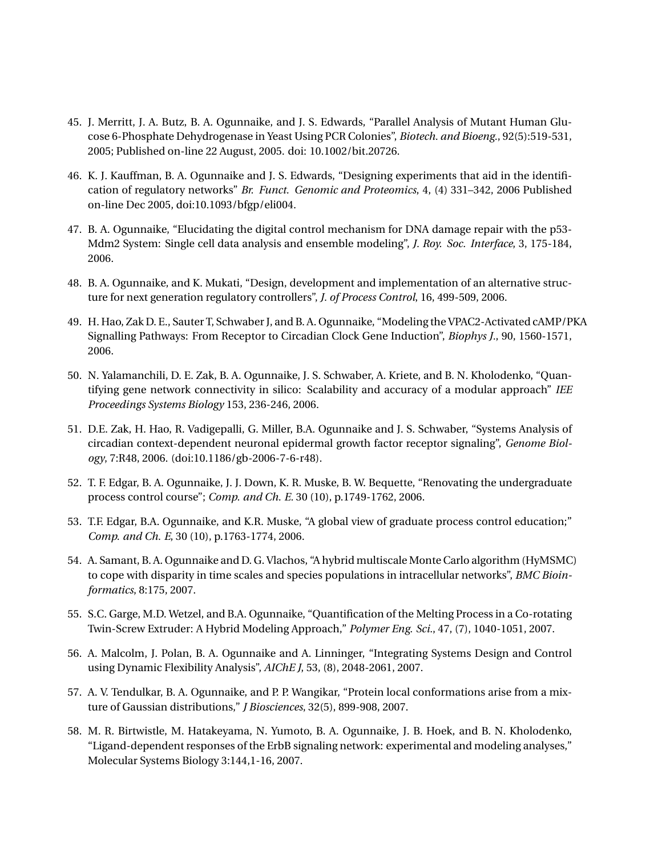- 45. J. Merritt, J. A. Butz, B. A. Ogunnaike, and J. S. Edwards, "Parallel Analysis of Mutant Human Glucose 6-Phosphate Dehydrogenase in Yeast Using PCR Colonies", *Biotech. and Bioeng.*, 92(5):519-531, 2005; Published on-line 22 August, 2005. doi: 10.1002/bit.20726.
- 46. K. J. Kauffman, B. A. Ogunnaike and J. S. Edwards, "Designing experiments that aid in the identification of regulatory networks" *Br. Funct. Genomic and Proteomics*, 4, (4) 331–342, 2006 Published on-line Dec 2005, doi:10.1093/bfgp/eli004.
- 47. B. A. Ogunnaike, "Elucidating the digital control mechanism for DNA damage repair with the p53- Mdm2 System: Single cell data analysis and ensemble modeling", *J. Roy. Soc. Interface*, 3, 175-184, 2006.
- 48. B. A. Ogunnaike, and K. Mukati, "Design, development and implementation of an alternative structure for next generation regulatory controllers", *J. of Process Control*, 16, 499-509, 2006.
- 49. H. Hao, Zak D. E., Sauter T, Schwaber J, and B. A. Ogunnaike, "Modeling the VPAC2-Activated cAMP/PKA Signalling Pathways: From Receptor to Circadian Clock Gene Induction", *Biophys J.*, 90, 1560-1571, 2006.
- 50. N. Yalamanchili, D. E. Zak, B. A. Ogunnaike, J. S. Schwaber, A. Kriete, and B. N. Kholodenko, "Quantifying gene network connectivity in silico: Scalability and accuracy of a modular approach" *IEE Proceedings Systems Biology* 153, 236-246, 2006.
- 51. D.E. Zak, H. Hao, R. Vadigepalli, G. Miller, B.A. Ogunnaike and J. S. Schwaber, "Systems Analysis of circadian context-dependent neuronal epidermal growth factor receptor signaling", *Genome Biology*, 7:R48, 2006. (doi:10.1186/gb-2006-7-6-r48).
- 52. T. F. Edgar, B. A. Ogunnaike, J. J. Down, K. R. Muske, B. W. Bequette, "Renovating the undergraduate process control course"; *Comp. and Ch. E.* 30 (10), p.1749-1762, 2006.
- 53. T.F. Edgar, B.A. Ogunnaike, and K.R. Muske, "A global view of graduate process control education;" *Comp. and Ch. E*, 30 (10), p.1763-1774, 2006.
- 54. A. Samant, B. A. Ogunnaike and D. G. Vlachos, "A hybrid multiscale Monte Carlo algorithm (HyMSMC) to cope with disparity in time scales and species populations in intracellular networks", *BMC Bioinformatics*, 8:175, 2007.
- 55. S.C. Garge, M.D. Wetzel, and B.A. Ogunnaike, "Quantification of the Melting Process in a Co-rotating Twin-Screw Extruder: A Hybrid Modeling Approach," *Polymer Eng. Sci.*, 47, (7), 1040-1051, 2007.
- 56. A. Malcolm, J. Polan, B. A. Ogunnaike and A. Linninger, "Integrating Systems Design and Control using Dynamic Flexibility Analysis", *AIChE J*, 53, (8), 2048-2061, 2007.
- 57. A. V. Tendulkar, B. A. Ogunnaike, and P. P. Wangikar, "Protein local conformations arise from a mixture of Gaussian distributions," *J Biosciences*, 32(5), 899-908, 2007.
- 58. M. R. Birtwistle, M. Hatakeyama, N. Yumoto, B. A. Ogunnaike, J. B. Hoek, and B. N. Kholodenko, "Ligand-dependent responses of the ErbB signaling network: experimental and modeling analyses," Molecular Systems Biology 3:144,1-16, 2007.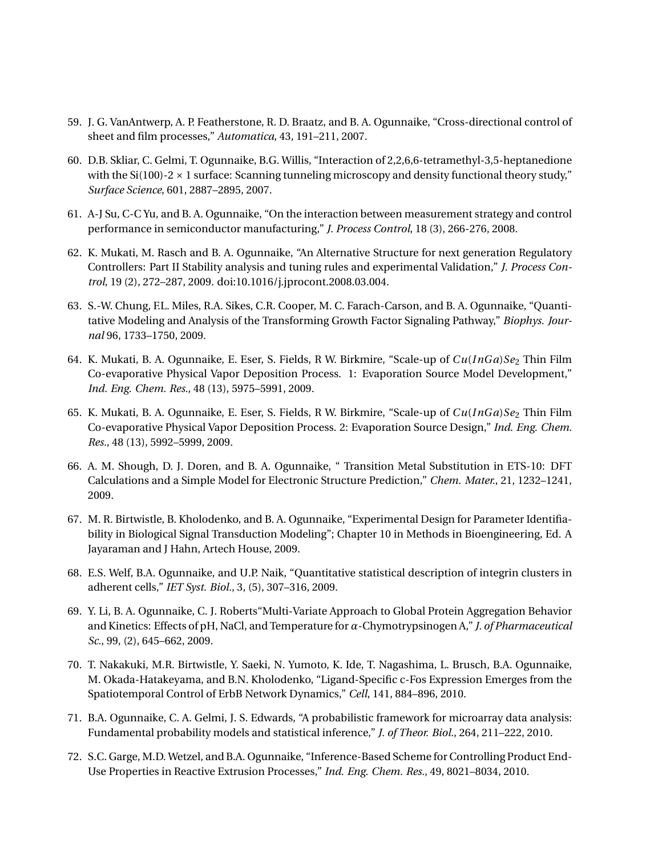- 59. J. G. VanAntwerp, A. P. Featherstone, R. D. Braatz, and B. A. Ogunnaike, "Cross-directional control of sheet and film processes," *Automatica*, 43, 191–211, 2007.
- 60. D.B. Skliar, C. Gelmi, T. Ogunnaike, B.G. Willis, "Interaction of 2,2,6,6-tetramethyl-3,5-heptanedione with the Si(100)-2  $\times$  1 surface: Scanning tunneling microscopy and density functional theory study," *Surface Science*, 601, 2887–2895, 2007.
- 61. A-J Su, C-C Yu, and B. A. Ogunnaike, "On the interaction between measurement strategy and control performance in semiconductor manufacturing," *J. Process Control*, 18 (3), 266-276, 2008.
- 62. K. Mukati, M. Rasch and B. A. Ogunnaike, "An Alternative Structure for next generation Regulatory Controllers: Part II Stability analysis and tuning rules and experimental Validation," *J. Process Control*, 19 (2), 272–287, 2009. doi:10.1016/j.jprocont.2008.03.004.
- 63. S.-W. Chung, F.L. Miles, R.A. Sikes, C.R. Cooper, M. C. Farach-Carson, and B. A. Ogunnaike, "Quantitative Modeling and Analysis of the Transforming Growth Factor Signaling Pathway," *Biophys. Journal* 96, 1733–1750, 2009.
- 64. K. Mukati, B. A. Ogunnaike, E. Eser, S. Fields, R W. Birkmire, "Scale-up of *Cu*(*InGa*)*Se*<sup>2</sup> Thin Film Co-evaporative Physical Vapor Deposition Process. 1: Evaporation Source Model Development," *Ind. Eng. Chem. Res.*, 48 (13), 5975–5991, 2009.
- 65. K. Mukati, B. A. Ogunnaike, E. Eser, S. Fields, R W. Birkmire, "Scale-up of  $Cu(InGa)Se<sub>2</sub>$  Thin Film Co-evaporative Physical Vapor Deposition Process. 2: Evaporation Source Design," *Ind. Eng. Chem. Res.*, 48 (13), 5992–5999, 2009.
- 66. A. M. Shough, D. J. Doren, and B. A. Ogunnaike, " Transition Metal Substitution in ETS-10: DFT Calculations and a Simple Model for Electronic Structure Prediction," *Chem. Mater.*, 21, 1232–1241, 2009.
- 67. M. R. Birtwistle, B. Kholodenko, and B. A. Ogunnaike, "Experimental Design for Parameter Identifiability in Biological Signal Transduction Modeling"; Chapter 10 in Methods in Bioengineering, Ed. A Jayaraman and J Hahn, Artech House, 2009.
- 68. E.S. Welf, B.A. Ogunnaike, and U.P. Naik, "Quantitative statistical description of integrin clusters in adherent cells," *IET Syst. Biol.*, 3, (5), 307–316, 2009.
- 69. Y. Li, B. A. Ogunnaike, C. J. Roberts"Multi-Variate Approach to Global Protein Aggregation Behavior and Kinetics: Effects of pH, NaCl, and Temperature for*α*-Chymotrypsinogen A," *J. of Pharmaceutical Sc.*, 99, (2), 645–662, 2009.
- 70. T. Nakakuki, M.R. Birtwistle, Y. Saeki, N. Yumoto, K. Ide, T. Nagashima, L. Brusch, B.A. Ogunnaike, M. Okada-Hatakeyama, and B.N. Kholodenko, "Ligand-Specific c-Fos Expression Emerges from the Spatiotemporal Control of ErbB Network Dynamics," *Cell*, 141, 884–896, 2010.
- 71. B.A. Ogunnaike, C. A. Gelmi, J. S. Edwards, "A probabilistic framework for microarray data analysis: Fundamental probability models and statistical inference," *J. of Theor. Biol.*, 264, 211–222, 2010.
- 72. S.C. Garge, M.D. Wetzel, and B.A. Ogunnaike, "Inference-Based Scheme for Controlling Product End-Use Properties in Reactive Extrusion Processes," *Ind. Eng. Chem. Res.*, 49, 8021–8034, 2010.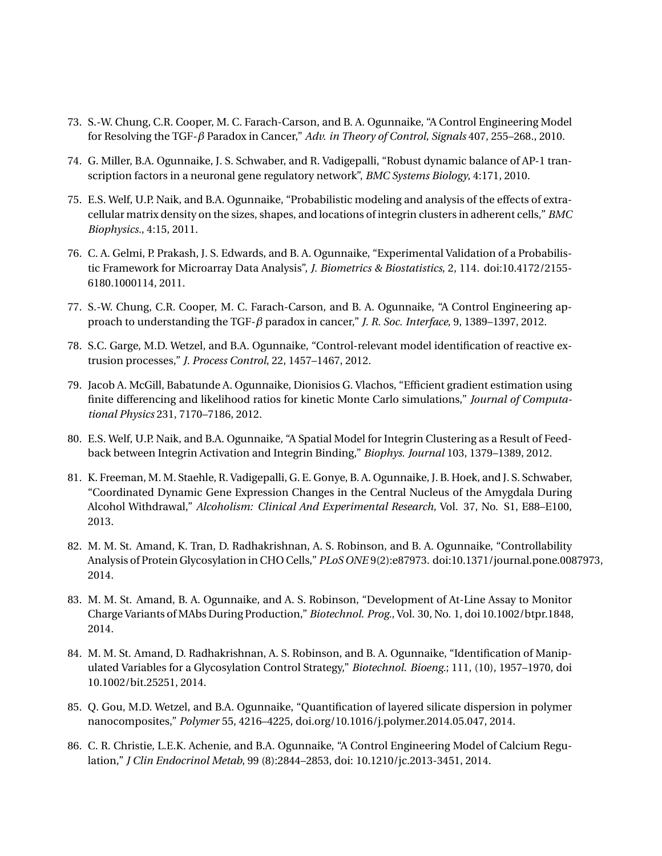- 73. S.-W. Chung, C.R. Cooper, M. C. Farach-Carson, and B. A. Ogunnaike, "A Control Engineering Model for Resolving the TGF-*β* Paradox in Cancer," *Adv. in Theory of Control, Signals* 407, 255–268., 2010.
- 74. G. Miller, B.A. Ogunnaike, J. S. Schwaber, and R. Vadigepalli, "Robust dynamic balance of AP-1 transcription factors in a neuronal gene regulatory network", *BMC Systems Biology*, 4:171, 2010.
- 75. E.S. Welf, U.P. Naik, and B.A. Ogunnaike, "Probabilistic modeling and analysis of the effects of extracellular matrix density on the sizes, shapes, and locations of integrin clusters in adherent cells," *BMC Biophysics.*, 4:15, 2011.
- 76. C. A. Gelmi, P. Prakash, J. S. Edwards, and B. A. Ogunnaike, "Experimental Validation of a Probabilistic Framework for Microarray Data Analysis", *J. Biometrics & Biostatistics*, 2, 114. doi:10.4172/2155- 6180.1000114, 2011.
- 77. S.-W. Chung, C.R. Cooper, M. C. Farach-Carson, and B. A. Ogunnaike, "A Control Engineering approach to understanding the TGF-*β* paradox in cancer," *J. R. Soc. Interface*, 9, 1389–1397, 2012.
- 78. S.C. Garge, M.D. Wetzel, and B.A. Ogunnaike, "Control-relevant model identification of reactive extrusion processes," *J. Process Control*, 22, 1457–1467, 2012.
- 79. Jacob A. McGill, Babatunde A. Ogunnaike, Dionisios G. Vlachos, "Efficient gradient estimation using finite differencing and likelihood ratios for kinetic Monte Carlo simulations," *Journal of Computational Physics* 231, 7170–7186, 2012.
- 80. E.S. Welf, U.P. Naik, and B.A. Ogunnaike, "A Spatial Model for Integrin Clustering as a Result of Feedback between Integrin Activation and Integrin Binding," *Biophys. Journal* 103, 1379–1389, 2012.
- 81. K. Freeman, M. M. Staehle, R. Vadigepalli, G. E. Gonye, B. A. Ogunnaike, J. B. Hoek, and J. S. Schwaber, "Coordinated Dynamic Gene Expression Changes in the Central Nucleus of the Amygdala During Alcohol Withdrawal," *Alcoholism: Clinical And Experimental Research,* Vol. 37, No. S1, E88–E100, 2013.
- 82. M. M. St. Amand, K. Tran, D. Radhakrishnan, A. S. Robinson, and B. A. Ogunnaike, "Controllability Analysis of Protein Glycosylation in CHO Cells," *PLoS ONE* 9(2):e87973. doi:10.1371/journal.pone.0087973, 2014.
- 83. M. M. St. Amand, B. A. Ogunnaike, and A. S. Robinson, "Development of At-Line Assay to Monitor Charge Variants of MAbs During Production," *Biotechnol. Prog.*, Vol. 30, No. 1, doi 10.1002/btpr.1848, 2014.
- 84. M. M. St. Amand, D. Radhakrishnan, A. S. Robinson, and B. A. Ogunnaike, "Identification of Manipulated Variables for a Glycosylation Control Strategy," *Biotechnol. Bioeng.*; 111, (10), 1957–1970, doi 10.1002/bit.25251, 2014.
- 85. Q. Gou, M.D. Wetzel, and B.A. Ogunnaike, "Quantification of layered silicate dispersion in polymer nanocomposites," *Polymer* 55, 4216–4225, doi.org/10.1016/j.polymer.2014.05.047, 2014.
- 86. C. R. Christie, L.E.K. Achenie, and B.A. Ogunnaike, "A Control Engineering Model of Calcium Regulation," *J Clin Endocrinol Metab*, 99 (8):2844–2853, doi: 10.1210/jc.2013-3451, 2014.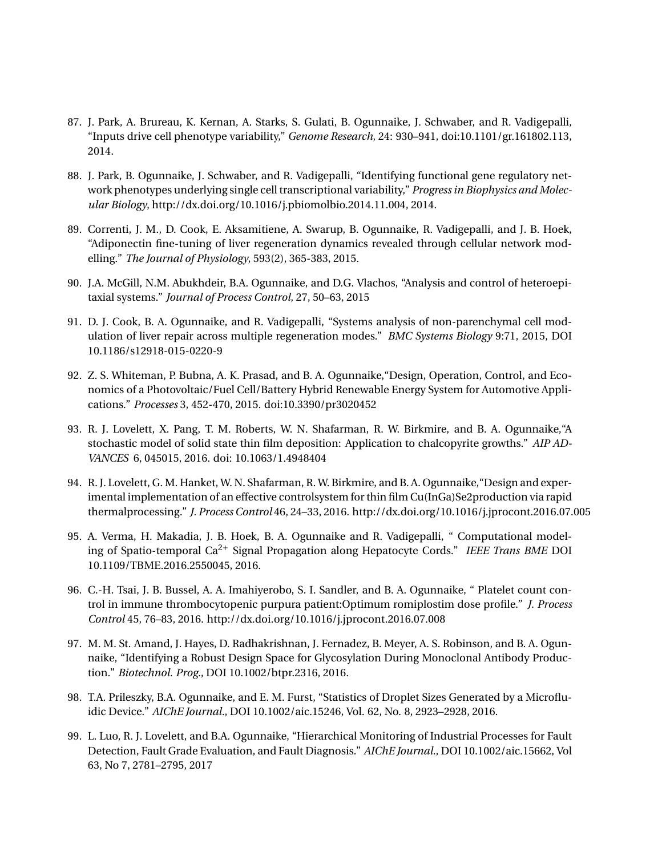- 87. J. Park, A. Brureau, K. Kernan, A. Starks, S. Gulati, B. Ogunnaike, J. Schwaber, and R. Vadigepalli, "Inputs drive cell phenotype variability," *Genome Research*, 24: 930–941, doi:10.1101/gr.161802.113, 2014.
- 88. J. Park, B. Ogunnaike, J. Schwaber, and R. Vadigepalli, "Identifying functional gene regulatory network phenotypes underlying single cell transcriptional variability," *Progress in Biophysics and Molecular Biology*, http://dx.doi.org/10.1016/j.pbiomolbio.2014.11.004, 2014.
- 89. Correnti, J. M., D. Cook, E. Aksamitiene, A. Swarup, B. Ogunnaike, R. Vadigepalli, and J. B. Hoek, "Adiponectin fine-tuning of liver regeneration dynamics revealed through cellular network modelling." *The Journal of Physiology*, 593(2), 365-383, 2015.
- 90. J.A. McGill, N.M. Abukhdeir, B.A. Ogunnaike, and D.G. Vlachos, "Analysis and control of heteroepitaxial systems." *Journal of Process Control*, 27, 50–63, 2015
- 91. D. J. Cook, B. A. Ogunnaike, and R. Vadigepalli, "Systems analysis of non-parenchymal cell modulation of liver repair across multiple regeneration modes." *BMC Systems Biology* 9:71, 2015, DOI 10.1186/s12918-015-0220-9
- 92. Z. S. Whiteman, P. Bubna, A. K. Prasad, and B. A. Ogunnaike,"Design, Operation, Control, and Economics of a Photovoltaic/Fuel Cell/Battery Hybrid Renewable Energy System for Automotive Applications." *Processes* 3, 452-470, 2015. doi:10.3390/pr3020452
- 93. R. J. Lovelett, X. Pang, T. M. Roberts, W. N. Shafarman, R. W. Birkmire, and B. A. Ogunnaike,"A stochastic model of solid state thin film deposition: Application to chalcopyrite growths." *AIP AD-VANCES* 6, 045015, 2016. doi: 10.1063/1.4948404
- 94. R. J. Lovelett, G. M. Hanket, W. N. Shafarman, R. W. Birkmire, and B. A. Ogunnaike,"Design and experimental implementation of an effective controlsystem for thin film Cu(InGa)Se2production via rapid thermalprocessing." *J. Process Control* 46, 24–33, 2016. http://dx.doi.org/10.1016/j.jprocont.2016.07.005
- 95. A. Verma, H. Makadia, J. B. Hoek, B. A. Ogunnaike and R. Vadigepalli, " Computational modeling of Spatio-temporal Ca2<sup>+</sup> Signal Propagation along Hepatocyte Cords." *IEEE Trans BME* DOI 10.1109/TBME.2016.2550045, 2016.
- 96. C.-H. Tsai, J. B. Bussel, A. A. Imahiyerobo, S. I. Sandler, and B. A. Ogunnaike, " Platelet count control in immune thrombocytopenic purpura patient:Optimum romiplostim dose profile." *J. Process Control* 45, 76–83, 2016. http://dx.doi.org/10.1016/j.jprocont.2016.07.008
- 97. M. M. St. Amand, J. Hayes, D. Radhakrishnan, J. Fernadez, B. Meyer, A. S. Robinson, and B. A. Ogunnaike, "Identifying a Robust Design Space for Glycosylation During Monoclonal Antibody Production." *Biotechnol. Prog.*, DOI 10.1002/btpr.2316, 2016.
- 98. T.A. Prileszky, B.A. Ogunnaike, and E. M. Furst, "Statistics of Droplet Sizes Generated by a Microfluidic Device." *AIChE Journal.*, DOI 10.1002/aic.15246, Vol. 62, No. 8, 2923–2928, 2016.
- 99. L. Luo, R. J. Lovelett, and B.A. Ogunnaike, "Hierarchical Monitoring of Industrial Processes for Fault Detection, Fault Grade Evaluation, and Fault Diagnosis." *AIChE Journal.*, DOI 10.1002/aic.15662, Vol 63, No 7, 2781–2795, 2017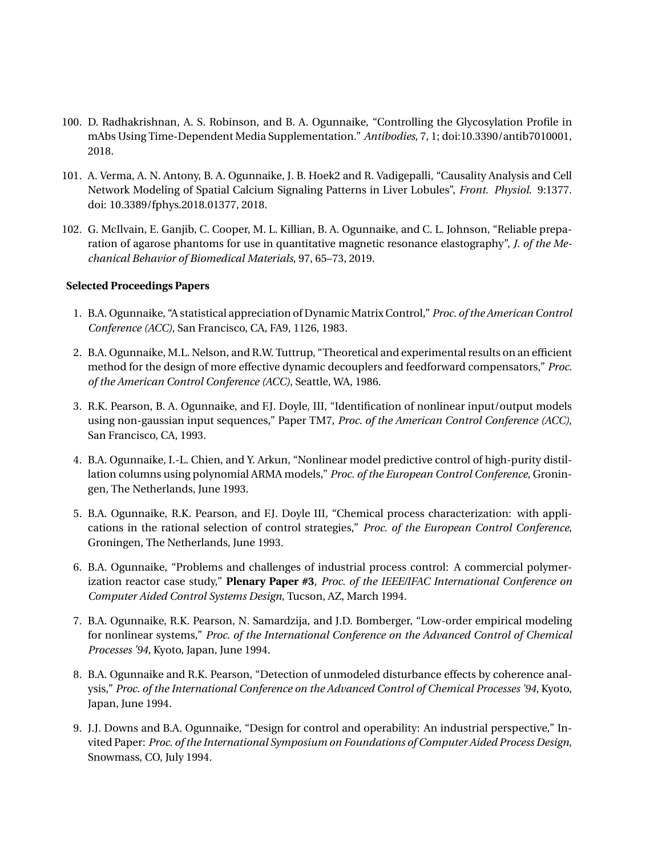- 100. D. Radhakrishnan, A. S. Robinson, and B. A. Ogunnaike, "Controlling the Glycosylation Profile in mAbs Using Time-Dependent Media Supplementation." *Antibodies*, 7, 1; doi:10.3390/antib7010001, 2018.
- 101. A. Verma, A. N. Antony, B. A. Ogunnaike, J. B. Hoek2 and R. Vadigepalli, "Causality Analysis and Cell Network Modeling of Spatial Calcium Signaling Patterns in Liver Lobules", *Front. Physiol*. 9:1377. doi: 10.3389/fphys.2018.01377, 2018.
- 102. G. McIlvain, E. Ganjib, C. Cooper, M. L. Killian, B. A. Ogunnaike, and C. L. Johnson, "Reliable preparation of agarose phantoms for use in quantitative magnetic resonance elastography", *J. of the Mechanical Behavior of Biomedical Materials*, 97, 65–73, 2019.

#### **Selected Proceedings Papers**

- 1. B.A. Ogunnaike, "A statistical appreciation of Dynamic Matrix Control," *Proc. of the American Control Conference (ACC)*, San Francisco, CA, FA9, 1126, 1983.
- 2. B.A. Ogunnaike, M.L. Nelson, and R.W. Tuttrup, "Theoretical and experimental results on an efficient method for the design of more effective dynamic decouplers and feedforward compensators," *Proc. of the American Control Conference (ACC)*, Seattle, WA, 1986.
- 3. R.K. Pearson, B. A. Ogunnaike, and F.J. Doyle, III, "Identification of nonlinear input/output models using non-gaussian input sequences," Paper TM7, *Proc. of the American Control Conference (ACC)*, San Francisco, CA, 1993.
- 4. B.A. Ogunnaike, I.-L. Chien, and Y. Arkun, "Nonlinear model predictive control of high-purity distillation columns using polynomial ARMA models," *Proc. of the European Control Conference*, Groningen, The Netherlands, June 1993.
- 5. B.A. Ogunnaike, R.K. Pearson, and F.J. Doyle III, "Chemical process characterization: with applications in the rational selection of control strategies," *Proc. of the European Control Conference*, Groningen, The Netherlands, June 1993.
- 6. B.A. Ogunnaike, "Problems and challenges of industrial process control: A commercial polymerization reactor case study," **Plenary Paper #3**, *Proc. of the IEEE/IFAC International Conference on Computer Aided Control Systems Design*, Tucson, AZ, March 1994.
- 7. B.A. Ogunnaike, R.K. Pearson, N. Samardzija, and J.D. Bomberger, "Low-order empirical modeling for nonlinear systems," *Proc. of the International Conference on the Advanced Control of Chemical Processes '94*, Kyoto, Japan, June 1994.
- 8. B.A. Ogunnaike and R.K. Pearson, "Detection of unmodeled disturbance effects by coherence analysis," *Proc. of the International Conference on the Advanced Control of Chemical Processes '94*, Kyoto, Japan, June 1994.
- 9. J.J. Downs and B.A. Ogunnaike, "Design for control and operability: An industrial perspective," Invited Paper: *Proc. of the International Symposium on Foundations of Computer Aided Process Design*, Snowmass, CO, July 1994.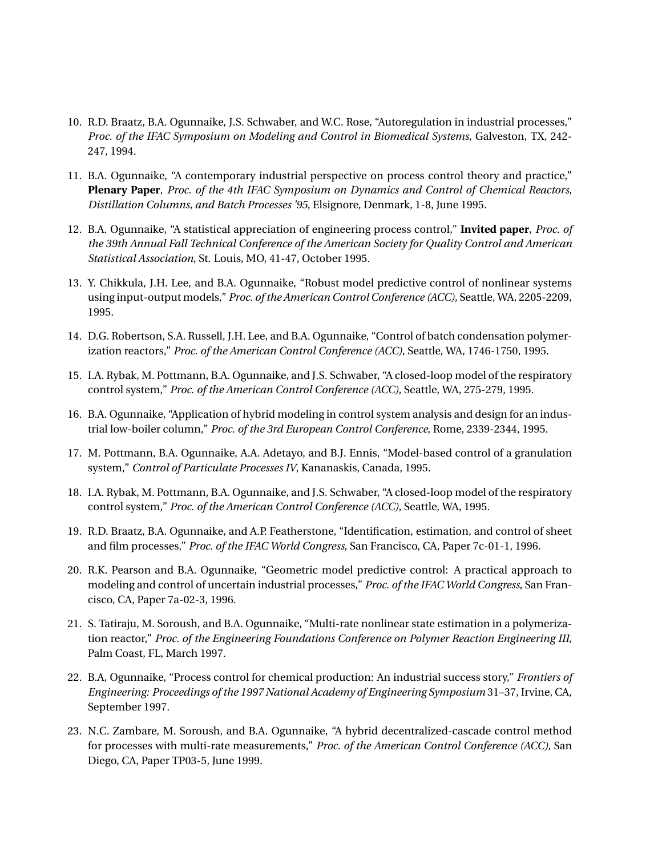- 10. R.D. Braatz, B.A. Ogunnaike, J.S. Schwaber, and W.C. Rose, "Autoregulation in industrial processes," *Proc. of the IFAC Symposium on Modeling and Control in Biomedical Systems*, Galveston, TX, 242- 247, 1994.
- 11. B.A. Ogunnaike, "A contemporary industrial perspective on process control theory and practice," **Plenary Paper**, *Proc. of the 4th IFAC Symposium on Dynamics and Control of Chemical Reactors, Distillation Columns, and Batch Processes '95*, Elsignore, Denmark, 1-8, June 1995.
- 12. B.A. Ogunnaike, "A statistical appreciation of engineering process control," **Invited paper**, *Proc. of the 39th Annual Fall Technical Conference of the American Society for Quality Control and American Statistical Association*, St. Louis, MO, 41-47, October 1995.
- 13. Y. Chikkula, J.H. Lee, and B.A. Ogunnaike, "Robust model predictive control of nonlinear systems using input-output models," *Proc. of the American Control Conference (ACC)*, Seattle, WA, 2205-2209, 1995.
- 14. D.G. Robertson, S.A. Russell, J.H. Lee, and B.A. Ogunnaike, "Control of batch condensation polymerization reactors," *Proc. of the American Control Conference (ACC)*, Seattle, WA, 1746-1750, 1995.
- 15. I.A. Rybak, M. Pottmann, B.A. Ogunnaike, and J.S. Schwaber, "A closed-loop model of the respiratory control system," *Proc. of the American Control Conference (ACC)*, Seattle, WA, 275-279, 1995.
- 16. B.A. Ogunnaike, "Application of hybrid modeling in control system analysis and design for an industrial low-boiler column," *Proc. of the 3rd European Control Conference*, Rome, 2339-2344, 1995.
- 17. M. Pottmann, B.A. Ogunnaike, A.A. Adetayo, and B.J. Ennis, "Model-based control of a granulation system," *Control of Particulate Processes IV*, Kananaskis, Canada, 1995.
- 18. I.A. Rybak, M. Pottmann, B.A. Ogunnaike, and J.S. Schwaber, "A closed-loop model of the respiratory control system," *Proc. of the American Control Conference (ACC)*, Seattle, WA, 1995.
- 19. R.D. Braatz, B.A. Ogunnaike, and A.P. Featherstone, "Identification, estimation, and control of sheet and film processes," *Proc. of the IFAC World Congress*, San Francisco, CA, Paper 7c-01-1, 1996.
- 20. R.K. Pearson and B.A. Ogunnaike, "Geometric model predictive control: A practical approach to modeling and control of uncertain industrial processes," *Proc. of the IFAC World Congress*, San Francisco, CA, Paper 7a-02-3, 1996.
- 21. S. Tatiraju, M. Soroush, and B.A. Ogunnaike, "Multi-rate nonlinear state estimation in a polymerization reactor," *Proc. of the Engineering Foundations Conference on Polymer Reaction Engineering III*, Palm Coast, FL, March 1997.
- 22. B.A, Ogunnaike, "Process control for chemical production: An industrial success story," *Frontiers of Engineering: Proceedings of the 1997 National Academy of Engineering Symposium* 31–37, Irvine, CA, September 1997.
- 23. N.C. Zambare, M. Soroush, and B.A. Ogunnaike, "A hybrid decentralized-cascade control method for processes with multi-rate measurements," *Proc. of the American Control Conference (ACC)*, San Diego, CA, Paper TP03-5, June 1999.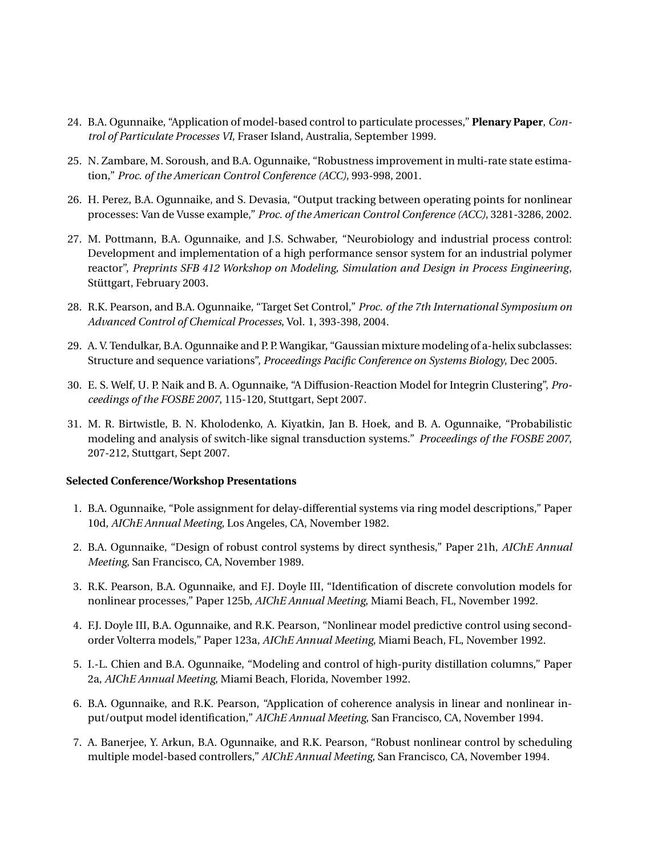- 24. B.A. Ogunnaike, "Application of model-based control to particulate processes," **Plenary Paper**, *Control of Particulate Processes VI*, Fraser Island, Australia, September 1999.
- 25. N. Zambare, M. Soroush, and B.A. Ogunnaike, "Robustness improvement in multi-rate state estimation," *Proc. of the American Control Conference (ACC)*, 993-998, 2001.
- 26. H. Perez, B.A. Ogunnaike, and S. Devasia, "Output tracking between operating points for nonlinear processes: Van de Vusse example," *Proc. of the American Control Conference (ACC)*, 3281-3286, 2002.
- 27. M. Pottmann, B.A. Ogunnaike, and J.S. Schwaber, "Neurobiology and industrial process control: Development and implementation of a high performance sensor system for an industrial polymer reactor", *Preprints SFB 412 Workshop on Modeling, Simulation and Design in Process Engineering*, Stüttgart, February 2003.
- 28. R.K. Pearson, and B.A. Ogunnaike, "Target Set Control," *Proc. of the 7th International Symposium on Advanced Control of Chemical Processes*, Vol. 1, 393-398, 2004.
- 29. A. V. Tendulkar, B.A. Ogunnaike and P. P. Wangikar, "Gaussian mixture modeling of a-helix subclasses: Structure and sequence variations", *Proceedings Pacific Conference on Systems Biology*, Dec 2005.
- 30. E. S. Welf, U. P. Naik and B. A. Ogunnaike, "A Diffusion-Reaction Model for Integrin Clustering", *Proceedings of the FOSBE 2007*, 115-120, Stuttgart, Sept 2007.
- 31. M. R. Birtwistle, B. N. Kholodenko, A. Kiyatkin, Jan B. Hoek, and B. A. Ogunnaike, "Probabilistic modeling and analysis of switch-like signal transduction systems." *Proceedings of the FOSBE 2007*, 207-212, Stuttgart, Sept 2007.

#### **Selected Conference/Workshop Presentations**

- 1. B.A. Ogunnaike, "Pole assignment for delay-differential systems via ring model descriptions," Paper 10d, *AIChE Annual Meeting*, Los Angeles, CA, November 1982.
- 2. B.A. Ogunnaike, "Design of robust control systems by direct synthesis," Paper 21h, *AIChE Annual Meeting*, San Francisco, CA, November 1989.
- 3. R.K. Pearson, B.A. Ogunnaike, and F.J. Doyle III, "Identification of discrete convolution models for nonlinear processes," Paper 125b, *AIChE Annual Meeting*, Miami Beach, FL, November 1992.
- 4. F.J. Doyle III, B.A. Ogunnaike, and R.K. Pearson, "Nonlinear model predictive control using secondorder Volterra models," Paper 123a, *AIChE Annual Meeting*, Miami Beach, FL, November 1992.
- 5. I.-L. Chien and B.A. Ogunnaike, "Modeling and control of high-purity distillation columns," Paper 2a, *AIChE Annual Meeting*, Miami Beach, Florida, November 1992.
- 6. B.A. Ogunnaike, and R.K. Pearson, "Application of coherence analysis in linear and nonlinear input/output model identification," *AIChE Annual Meeting*, San Francisco, CA, November 1994.
- 7. A. Banerjee, Y. Arkun, B.A. Ogunnaike, and R.K. Pearson, "Robust nonlinear control by scheduling multiple model-based controllers," *AIChE Annual Meeting*, San Francisco, CA, November 1994.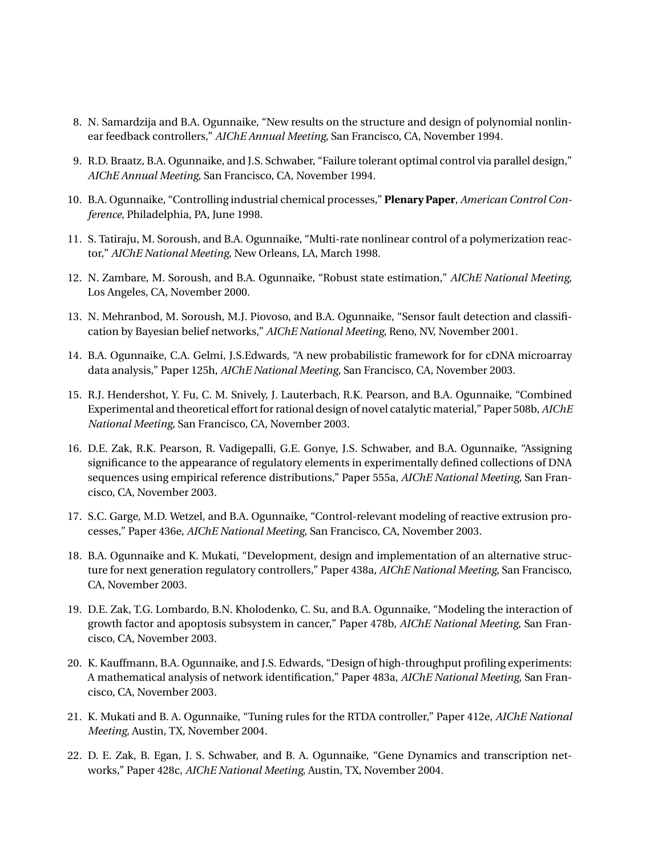- 8. N. Samardzija and B.A. Ogunnaike, "New results on the structure and design of polynomial nonlinear feedback controllers," *AIChE Annual Meeting*, San Francisco, CA, November 1994.
- 9. R.D. Braatz, B.A. Ogunnaike, and J.S. Schwaber, "Failure tolerant optimal control via parallel design," *AIChE Annual Meeting*, San Francisco, CA, November 1994.
- 10. B.A. Ogunnaike, "Controlling industrial chemical processes," **Plenary Paper**, *American Control Conference*, Philadelphia, PA, June 1998.
- 11. S. Tatiraju, M. Soroush, and B.A. Ogunnaike, "Multi-rate nonlinear control of a polymerization reactor," *AIChE National Meeting*, New Orleans, LA, March 1998.
- 12. N. Zambare, M. Soroush, and B.A. Ogunnaike, "Robust state estimation," *AIChE National Meeting*, Los Angeles, CA, November 2000.
- 13. N. Mehranbod, M. Soroush, M.J. Piovoso, and B.A. Ogunnaike, "Sensor fault detection and classification by Bayesian belief networks," *AIChE National Meeting*, Reno, NV, November 2001.
- 14. B.A. Ogunnaike, C.A. Gelmi, J.S.Edwards, "A new probabilistic framework for for cDNA microarray data analysis," Paper 125h, *AIChE National Meeting*, San Francisco, CA, November 2003.
- 15. R.J. Hendershot, Y. Fu, C. M. Snively, J. Lauterbach, R.K. Pearson, and B.A. Ogunnaike, "Combined Experimental and theoretical effort for rational design of novel catalytic material," Paper 508b, *AIChE National Meeting*, San Francisco, CA, November 2003.
- 16. D.E. Zak, R.K. Pearson, R. Vadigepalli, G.E. Gonye, J.S. Schwaber, and B.A. Ogunnaike, "Assigning significance to the appearance of regulatory elements in experimentally defined collections of DNA sequences using empirical reference distributions," Paper 555a, *AIChE National Meeting*, San Francisco, CA, November 2003.
- 17. S.C. Garge, M.D. Wetzel, and B.A. Ogunnaike, "Control-relevant modeling of reactive extrusion processes," Paper 436e, *AIChE National Meeting*, San Francisco, CA, November 2003.
- 18. B.A. Ogunnaike and K. Mukati, "Development, design and implementation of an alternative structure for next generation regulatory controllers," Paper 438a, *AIChE National Meeting*, San Francisco, CA, November 2003.
- 19. D.E. Zak, T.G. Lombardo, B.N. Kholodenko, C. Su, and B.A. Ogunnaike, "Modeling the interaction of growth factor and apoptosis subsystem in cancer," Paper 478b, *AIChE National Meeting*, San Francisco, CA, November 2003.
- 20. K. Kauffmann, B.A. Ogunnaike, and J.S. Edwards, "Design of high-throughput profiling experiments: A mathematical analysis of network identification," Paper 483a, *AIChE National Meeting*, San Francisco, CA, November 2003.
- 21. K. Mukati and B. A. Ogunnaike, "Tuning rules for the RTDA controller," Paper 412e, *AIChE National Meeting*, Austin, TX, November 2004.
- 22. D. E. Zak, B. Egan, J. S. Schwaber, and B. A. Ogunnaike, "Gene Dynamics and transcription networks," Paper 428c, *AIChE National Meeting*, Austin, TX, November 2004.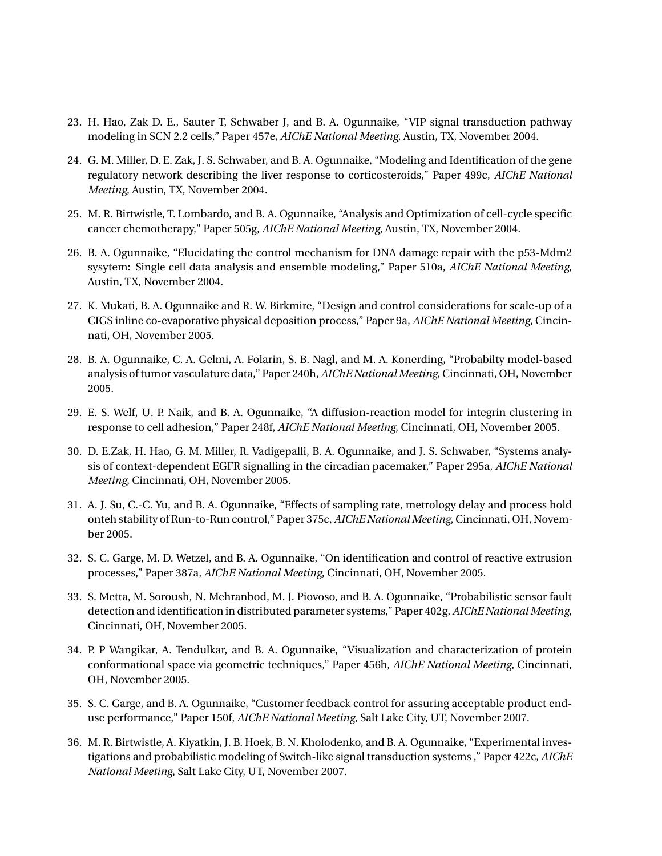- 23. H. Hao, Zak D. E., Sauter T, Schwaber J, and B. A. Ogunnaike, "VIP signal transduction pathway modeling in SCN 2.2 cells," Paper 457e, *AIChE National Meeting*, Austin, TX, November 2004.
- 24. G. M. Miller, D. E. Zak, J. S. Schwaber, and B. A. Ogunnaike, "Modeling and Identification of the gene regulatory network describing the liver response to corticosteroids," Paper 499c, *AIChE National Meeting*, Austin, TX, November 2004.
- 25. M. R. Birtwistle, T. Lombardo, and B. A. Ogunnaike, "Analysis and Optimization of cell-cycle specific cancer chemotherapy," Paper 505g, *AIChE National Meeting*, Austin, TX, November 2004.
- 26. B. A. Ogunnaike, "Elucidating the control mechanism for DNA damage repair with the p53-Mdm2 sysytem: Single cell data analysis and ensemble modeling," Paper 510a, *AIChE National Meeting*, Austin, TX, November 2004.
- 27. K. Mukati, B. A. Ogunnaike and R. W. Birkmire, "Design and control considerations for scale-up of a CIGS inline co-evaporative physical deposition process," Paper 9a, *AIChE National Meeting*, Cincinnati, OH, November 2005.
- 28. B. A. Ogunnaike, C. A. Gelmi, A. Folarin, S. B. Nagl, and M. A. Konerding, "Probabilty model-based analysis of tumor vasculature data," Paper 240h, *AIChE National Meeting*, Cincinnati, OH, November 2005.
- 29. E. S. Welf, U. P. Naik, and B. A. Ogunnaike, "A diffusion-reaction model for integrin clustering in response to cell adhesion," Paper 248f, *AIChE National Meeting*, Cincinnati, OH, November 2005.
- 30. D. E.Zak, H. Hao, G. M. Miller, R. Vadigepalli, B. A. Ogunnaike, and J. S. Schwaber, "Systems analysis of context-dependent EGFR signalling in the circadian pacemaker," Paper 295a, *AIChE National Meeting*, Cincinnati, OH, November 2005.
- 31. A. J. Su, C.-C. Yu, and B. A. Ogunnaike, "Effects of sampling rate, metrology delay and process hold onteh stability of Run-to-Run control," Paper 375c, *AIChE National Meeting*, Cincinnati, OH, November 2005.
- 32. S. C. Garge, M. D. Wetzel, and B. A. Ogunnaike, "On identification and control of reactive extrusion processes," Paper 387a, *AIChE National Meeting*, Cincinnati, OH, November 2005.
- 33. S. Metta, M. Soroush, N. Mehranbod, M. J. Piovoso, and B. A. Ogunnaike, "Probabilistic sensor fault detection and identification in distributed parameter systems," Paper 402g, *AIChE National Meeting*, Cincinnati, OH, November 2005.
- 34. P. P Wangikar, A. Tendulkar, and B. A. Ogunnaike, "Visualization and characterization of protein conformational space via geometric techniques," Paper 456h, *AIChE National Meeting*, Cincinnati, OH, November 2005.
- 35. S. C. Garge, and B. A. Ogunnaike, "Customer feedback control for assuring acceptable product enduse performance," Paper 150f, *AIChE National Meeting*, Salt Lake City, UT, November 2007.
- 36. M. R. Birtwistle, A. Kiyatkin, J. B. Hoek, B. N. Kholodenko, and B. A. Ogunnaike, "Experimental investigations and probabilistic modeling of Switch-like signal transduction systems ," Paper 422c, *AIChE National Meeting*, Salt Lake City, UT, November 2007.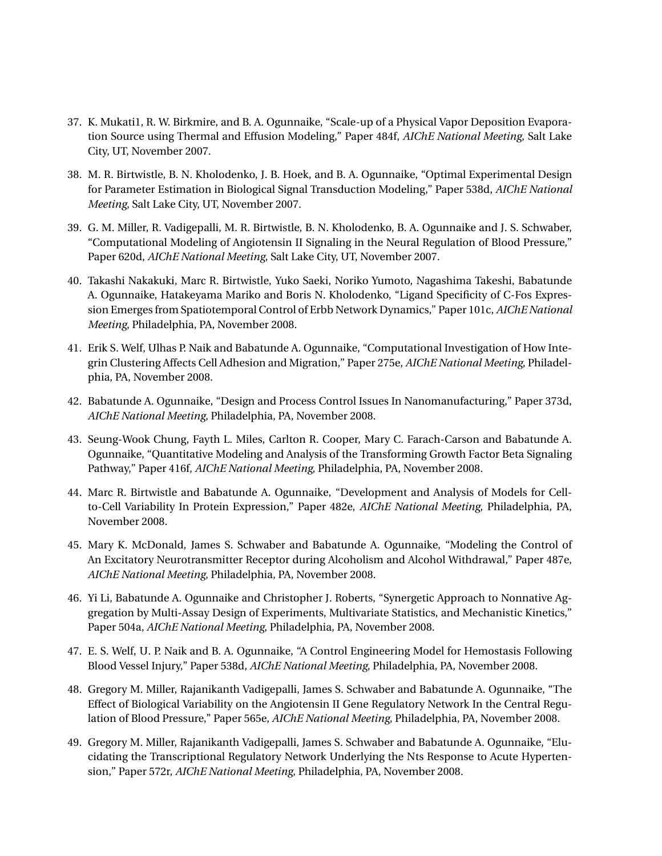- 37. K. Mukati1, R. W. Birkmire, and B. A. Ogunnaike, "Scale-up of a Physical Vapor Deposition Evaporation Source using Thermal and Effusion Modeling," Paper 484f, *AIChE National Meeting*, Salt Lake City, UT, November 2007.
- 38. M. R. Birtwistle, B. N. Kholodenko, J. B. Hoek, and B. A. Ogunnaike, "Optimal Experimental Design for Parameter Estimation in Biological Signal Transduction Modeling," Paper 538d, *AIChE National Meeting*, Salt Lake City, UT, November 2007.
- 39. G. M. Miller, R. Vadigepalli, M. R. Birtwistle, B. N. Kholodenko, B. A. Ogunnaike and J. S. Schwaber, "Computational Modeling of Angiotensin II Signaling in the Neural Regulation of Blood Pressure," Paper 620d, *AIChE National Meeting*, Salt Lake City, UT, November 2007.
- 40. Takashi Nakakuki, Marc R. Birtwistle, Yuko Saeki, Noriko Yumoto, Nagashima Takeshi, Babatunde A. Ogunnaike, Hatakeyama Mariko and Boris N. Kholodenko, "Ligand Specificity of C-Fos Expression Emerges from Spatiotemporal Control of Erbb Network Dynamics," Paper 101c, *AIChE National Meeting*, Philadelphia, PA, November 2008.
- 41. Erik S. Welf, Ulhas P. Naik and Babatunde A. Ogunnaike, "Computational Investigation of How Integrin Clustering Affects Cell Adhesion and Migration," Paper 275e, *AIChE National Meeting*, Philadelphia, PA, November 2008.
- 42. Babatunde A. Ogunnaike, "Design and Process Control Issues In Nanomanufacturing," Paper 373d, *AIChE National Meeting*, Philadelphia, PA, November 2008.
- 43. Seung-Wook Chung, Fayth L. Miles, Carlton R. Cooper, Mary C. Farach-Carson and Babatunde A. Ogunnaike, "Quantitative Modeling and Analysis of the Transforming Growth Factor Beta Signaling Pathway," Paper 416f, *AIChE National Meeting*, Philadelphia, PA, November 2008.
- 44. Marc R. Birtwistle and Babatunde A. Ogunnaike, "Development and Analysis of Models for Cellto-Cell Variability In Protein Expression," Paper 482e, *AIChE National Meeting*, Philadelphia, PA, November 2008.
- 45. Mary K. McDonald, James S. Schwaber and Babatunde A. Ogunnaike, "Modeling the Control of An Excitatory Neurotransmitter Receptor during Alcoholism and Alcohol Withdrawal," Paper 487e, *AIChE National Meeting*, Philadelphia, PA, November 2008.
- 46. Yi Li, Babatunde A. Ogunnaike and Christopher J. Roberts, "Synergetic Approach to Nonnative Aggregation by Multi-Assay Design of Experiments, Multivariate Statistics, and Mechanistic Kinetics," Paper 504a, *AIChE National Meeting*, Philadelphia, PA, November 2008.
- 47. E. S. Welf, U. P. Naik and B. A. Ogunnaike, "A Control Engineering Model for Hemostasis Following Blood Vessel Injury," Paper 538d, *AIChE National Meeting*, Philadelphia, PA, November 2008.
- 48. Gregory M. Miller, Rajanikanth Vadigepalli, James S. Schwaber and Babatunde A. Ogunnaike, "The Effect of Biological Variability on the Angiotensin II Gene Regulatory Network In the Central Regulation of Blood Pressure," Paper 565e, *AIChE National Meeting*, Philadelphia, PA, November 2008.
- 49. Gregory M. Miller, Rajanikanth Vadigepalli, James S. Schwaber and Babatunde A. Ogunnaike, "Elucidating the Transcriptional Regulatory Network Underlying the Nts Response to Acute Hypertension," Paper 572r, *AIChE National Meeting*, Philadelphia, PA, November 2008.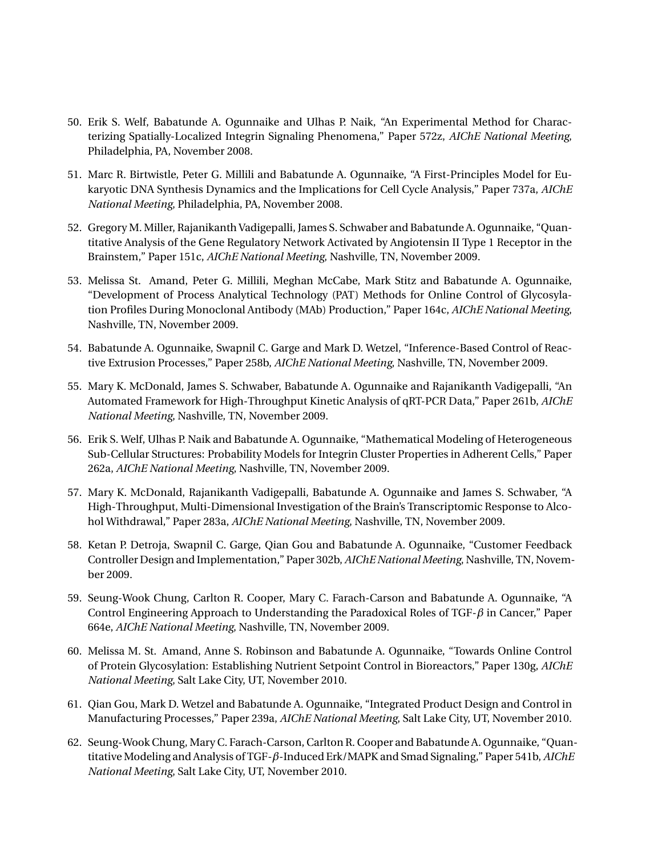- 50. Erik S. Welf, Babatunde A. Ogunnaike and Ulhas P. Naik, "An Experimental Method for Characterizing Spatially-Localized Integrin Signaling Phenomena," Paper 572z, *AIChE National Meeting*, Philadelphia, PA, November 2008.
- 51. Marc R. Birtwistle, Peter G. Millili and Babatunde A. Ogunnaike, "A First-Principles Model for Eukaryotic DNA Synthesis Dynamics and the Implications for Cell Cycle Analysis," Paper 737a, *AIChE National Meeting*, Philadelphia, PA, November 2008.
- 52. Gregory M. Miller, Rajanikanth Vadigepalli, James S. Schwaber and Babatunde A. Ogunnaike, "Quantitative Analysis of the Gene Regulatory Network Activated by Angiotensin II Type 1 Receptor in the Brainstem," Paper 151c, *AIChE National Meeting*, Nashville, TN, November 2009.
- 53. Melissa St. Amand, Peter G. Millili, Meghan McCabe, Mark Stitz and Babatunde A. Ogunnaike, "Development of Process Analytical Technology (PAT) Methods for Online Control of Glycosylation Profiles During Monoclonal Antibody (MAb) Production," Paper 164c, *AIChE National Meeting*, Nashville, TN, November 2009.
- 54. Babatunde A. Ogunnaike, Swapnil C. Garge and Mark D. Wetzel, "Inference-Based Control of Reactive Extrusion Processes," Paper 258b, *AIChE National Meeting*, Nashville, TN, November 2009.
- 55. Mary K. McDonald, James S. Schwaber, Babatunde A. Ogunnaike and Rajanikanth Vadigepalli, "An Automated Framework for High-Throughput Kinetic Analysis of qRT-PCR Data," Paper 261b, *AIChE National Meeting*, Nashville, TN, November 2009.
- 56. Erik S. Welf, Ulhas P. Naik and Babatunde A. Ogunnaike, "Mathematical Modeling of Heterogeneous Sub-Cellular Structures: Probability Models for Integrin Cluster Properties in Adherent Cells," Paper 262a, *AIChE National Meeting*, Nashville, TN, November 2009.
- 57. Mary K. McDonald, Rajanikanth Vadigepalli, Babatunde A. Ogunnaike and James S. Schwaber, "A High-Throughput, Multi-Dimensional Investigation of the Brain's Transcriptomic Response to Alcohol Withdrawal," Paper 283a, *AIChE National Meeting*, Nashville, TN, November 2009.
- 58. Ketan P. Detroja, Swapnil C. Garge, Qian Gou and Babatunde A. Ogunnaike, "Customer Feedback Controller Design and Implementation," Paper 302b, *AIChE National Meeting*, Nashville, TN, November 2009.
- 59. Seung-Wook Chung, Carlton R. Cooper, Mary C. Farach-Carson and Babatunde A. Ogunnaike, "A Control Engineering Approach to Understanding the Paradoxical Roles of TGF-*β* in Cancer," Paper 664e, *AIChE National Meeting*, Nashville, TN, November 2009.
- 60. Melissa M. St. Amand, Anne S. Robinson and Babatunde A. Ogunnaike, "Towards Online Control of Protein Glycosylation: Establishing Nutrient Setpoint Control in Bioreactors," Paper 130g, *AIChE National Meeting*, Salt Lake City, UT, November 2010.
- 61. Qian Gou, Mark D. Wetzel and Babatunde A. Ogunnaike, "Integrated Product Design and Control in Manufacturing Processes," Paper 239a, *AIChE National Meeting*, Salt Lake City, UT, November 2010.
- 62. Seung-Wook Chung, Mary C. Farach-Carson, Carlton R. Cooper and Babatunde A. Ogunnaike, "Quantitative Modeling and Analysis of TGF-*β*-Induced Erk/MAPK and Smad Signaling," Paper 541b, *AIChE National Meeting*, Salt Lake City, UT, November 2010.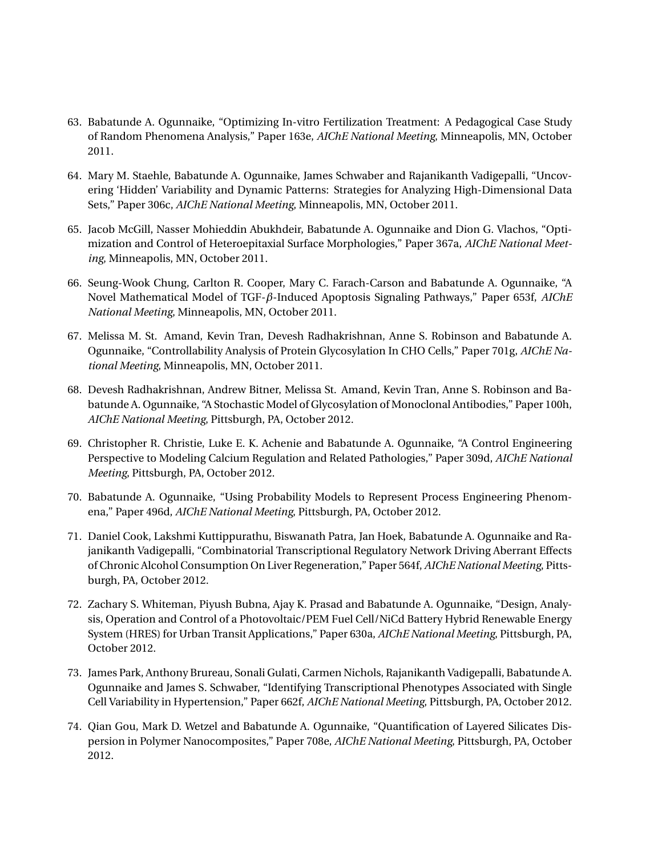- 63. Babatunde A. Ogunnaike, "Optimizing In-vitro Fertilization Treatment: A Pedagogical Case Study of Random Phenomena Analysis," Paper 163e, *AIChE National Meeting*, Minneapolis, MN, October 2011.
- 64. Mary M. Staehle, Babatunde A. Ogunnaike, James Schwaber and Rajanikanth Vadigepalli, "Uncovering 'Hidden' Variability and Dynamic Patterns: Strategies for Analyzing High-Dimensional Data Sets," Paper 306c, *AIChE National Meeting*, Minneapolis, MN, October 2011.
- 65. Jacob McGill, Nasser Mohieddin Abukhdeir, Babatunde A. Ogunnaike and Dion G. Vlachos, "Optimization and Control of Heteroepitaxial Surface Morphologies," Paper 367a, *AIChE National Meeting*, Minneapolis, MN, October 2011.
- 66. Seung-Wook Chung, Carlton R. Cooper, Mary C. Farach-Carson and Babatunde A. Ogunnaike, "A Novel Mathematical Model of TGF-*β*-Induced Apoptosis Signaling Pathways," Paper 653f, *AIChE National Meeting*, Minneapolis, MN, October 2011.
- 67. Melissa M. St. Amand, Kevin Tran, Devesh Radhakrishnan, Anne S. Robinson and Babatunde A. Ogunnaike, "Controllability Analysis of Protein Glycosylation In CHO Cells," Paper 701g, *AIChE National Meeting*, Minneapolis, MN, October 2011.
- 68. Devesh Radhakrishnan, Andrew Bitner, Melissa St. Amand, Kevin Tran, Anne S. Robinson and Babatunde A. Ogunnaike, "A Stochastic Model of Glycosylation of Monoclonal Antibodies," Paper 100h, *AIChE National Meeting*, Pittsburgh, PA, October 2012.
- 69. Christopher R. Christie, Luke E. K. Achenie and Babatunde A. Ogunnaike, "A Control Engineering Perspective to Modeling Calcium Regulation and Related Pathologies," Paper 309d, *AIChE National Meeting*, Pittsburgh, PA, October 2012.
- 70. Babatunde A. Ogunnaike, "Using Probability Models to Represent Process Engineering Phenomena," Paper 496d, *AIChE National Meeting*, Pittsburgh, PA, October 2012.
- 71. Daniel Cook, Lakshmi Kuttippurathu, Biswanath Patra, Jan Hoek, Babatunde A. Ogunnaike and Rajanikanth Vadigepalli, "Combinatorial Transcriptional Regulatory Network Driving Aberrant Effects of Chronic Alcohol Consumption On Liver Regeneration," Paper 564f, *AIChE National Meeting*, Pittsburgh, PA, October 2012.
- 72. Zachary S. Whiteman, Piyush Bubna, Ajay K. Prasad and Babatunde A. Ogunnaike, "Design, Analysis, Operation and Control of a Photovoltaic/PEM Fuel Cell/NiCd Battery Hybrid Renewable Energy System (HRES) for Urban Transit Applications," Paper 630a, *AIChE National Meeting*, Pittsburgh, PA, October 2012.
- 73. James Park, Anthony Brureau, Sonali Gulati, Carmen Nichols, Rajanikanth Vadigepalli, Babatunde A. Ogunnaike and James S. Schwaber, "Identifying Transcriptional Phenotypes Associated with Single Cell Variability in Hypertension," Paper 662f, *AIChE National Meeting*, Pittsburgh, PA, October 2012.
- 74. Qian Gou, Mark D. Wetzel and Babatunde A. Ogunnaike, "Quantification of Layered Silicates Dispersion in Polymer Nanocomposites," Paper 708e, *AIChE National Meeting*, Pittsburgh, PA, October 2012.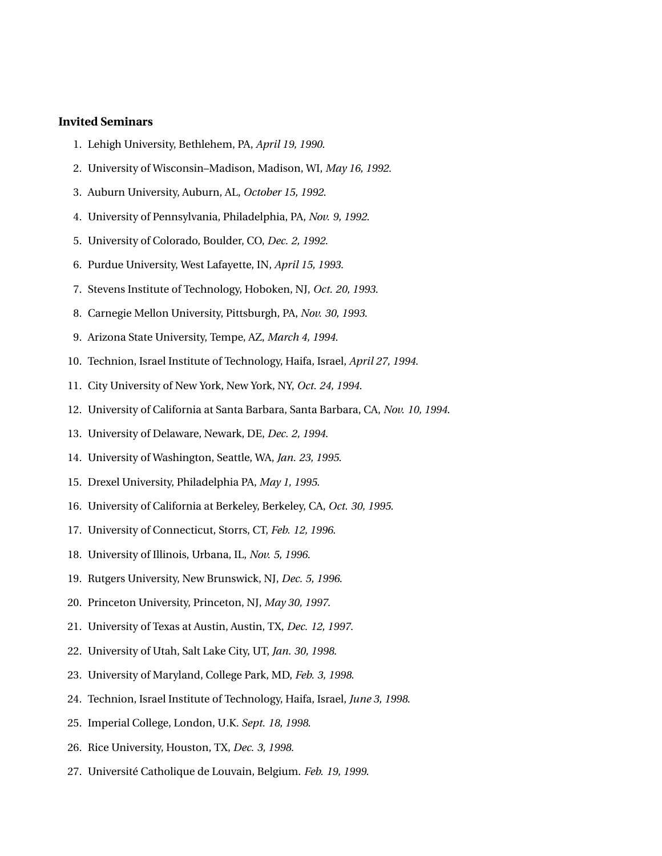#### **Invited Seminars**

- 1. Lehigh University, Bethlehem, PA, *April 19, 1990*.
- 2. University of Wisconsin–Madison, Madison, WI, *May 16, 1992*.
- 3. Auburn University, Auburn, AL, *October 15, 1992*.
- 4. University of Pennsylvania, Philadelphia, PA, *Nov. 9, 1992*.
- 5. University of Colorado, Boulder, CO, *Dec. 2, 1992*.
- 6. Purdue University, West Lafayette, IN, *April 15, 1993*.
- 7. Stevens Institute of Technology, Hoboken, NJ, *Oct. 20, 1993*.
- 8. Carnegie Mellon University, Pittsburgh, PA, *Nov. 30, 1993*.
- 9. Arizona State University, Tempe, AZ, *March 4, 1994*.
- 10. Technion, Israel Institute of Technology, Haifa, Israel, *April 27, 1994*.
- 11. City University of New York, New York, NY, *Oct. 24, 1994*.
- 12. University of California at Santa Barbara, Santa Barbara, CA, *Nov. 10, 1994*.
- 13. University of Delaware, Newark, DE, *Dec. 2, 1994*.
- 14. University of Washington, Seattle, WA, *Jan. 23, 1995*.
- 15. Drexel University, Philadelphia PA, *May 1, 1995*.
- 16. University of California at Berkeley, Berkeley, CA, *Oct. 30, 1995*.
- 17. University of Connecticut, Storrs, CT, *Feb. 12, 1996*.
- 18. University of Illinois, Urbana, IL, *Nov. 5, 1996*.
- 19. Rutgers University, New Brunswick, NJ, *Dec. 5, 1996*.
- 20. Princeton University, Princeton, NJ, *May 30, 1997*.
- 21. University of Texas at Austin, Austin, TX, *Dec. 12, 1997*.
- 22. University of Utah, Salt Lake City, UT, *Jan. 30, 1998*.
- 23. University of Maryland, College Park, MD, *Feb. 3, 1998*.
- 24. Technion, Israel Institute of Technology, Haifa, Israel, *June 3, 1998*.
- 25. Imperial College, London, U.K. *Sept. 18, 1998*.
- 26. Rice University, Houston, TX, *Dec. 3, 1998*.
- 27. Université Catholique de Louvain, Belgium. *Feb. 19, 1999*.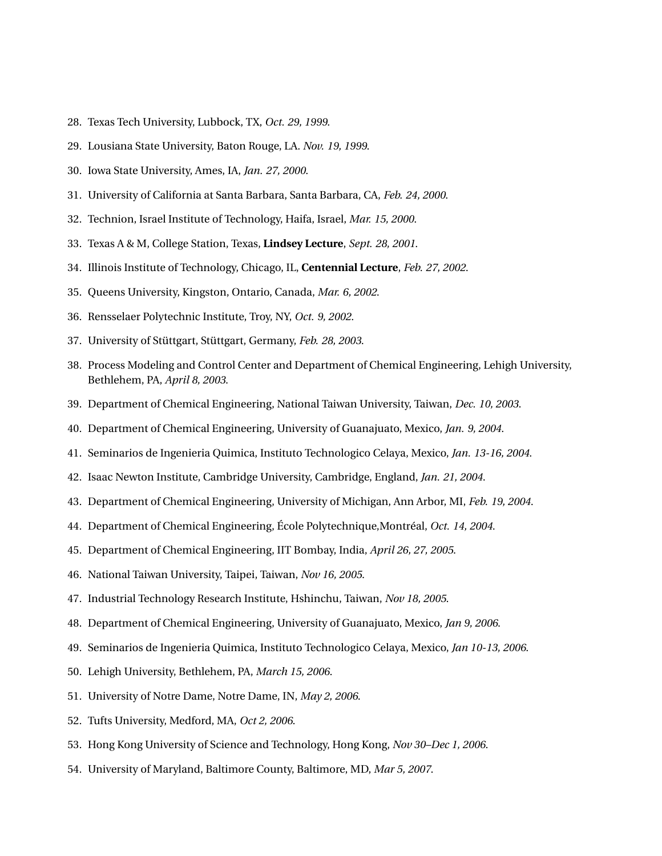- 28. Texas Tech University, Lubbock, TX, *Oct. 29, 1999*.
- 29. Lousiana State University, Baton Rouge, LA. *Nov. 19, 1999*.
- 30. Iowa State University, Ames, IA, *Jan. 27, 2000*.
- 31. University of California at Santa Barbara, Santa Barbara, CA, *Feb. 24, 2000*.
- 32. Technion, Israel Institute of Technology, Haifa, Israel, *Mar. 15, 2000*.
- 33. Texas A & M, College Station, Texas, **Lindsey Lecture**, *Sept. 28, 2001*.
- 34. Illinois Institute of Technology, Chicago, IL, **Centennial Lecture**, *Feb. 27, 2002*.
- 35. Queens University, Kingston, Ontario, Canada, *Mar. 6, 2002*.
- 36. Rensselaer Polytechnic Institute, Troy, NY, *Oct. 9, 2002*.
- 37. University of Stüttgart, Stüttgart, Germany, *Feb. 28, 2003*.
- 38. Process Modeling and Control Center and Department of Chemical Engineering, Lehigh University, Bethlehem, PA, *April 8, 2003*.
- 39. Department of Chemical Engineering, National Taiwan University, Taiwan, *Dec. 10, 2003*.
- 40. Department of Chemical Engineering, University of Guanajuato, Mexico, *Jan. 9, 2004*.
- 41. Seminarios de Ingenieria Quimica, Instituto Technologico Celaya, Mexico, *Jan. 13-16, 2004*.
- 42. Isaac Newton Institute, Cambridge University, Cambridge, England, *Jan. 21, 2004*.
- 43. Department of Chemical Engineering, University of Michigan, Ann Arbor, MI, *Feb. 19, 2004*.
- 44. Department of Chemical Engineering, École Polytechnique,Montréal, *Oct. 14, 2004*.
- 45. Department of Chemical Engineering, IIT Bombay, India, *April 26, 27, 2005*.
- 46. National Taiwan University, Taipei, Taiwan, *Nov 16, 2005*.
- 47. Industrial Technology Research Institute, Hshinchu, Taiwan, *Nov 18, 2005*.
- 48. Department of Chemical Engineering, University of Guanajuato, Mexico, *Jan 9, 2006*.
- 49. Seminarios de Ingenieria Quimica, Instituto Technologico Celaya, Mexico, *Jan 10-13, 2006*.
- 50. Lehigh University, Bethlehem, PA, *March 15, 2006*.
- 51. University of Notre Dame, Notre Dame, IN, *May 2, 2006*.
- 52. Tufts University, Medford, MA, *Oct 2, 2006*.
- 53. Hong Kong University of Science and Technology, Hong Kong, *Nov 30–Dec 1, 2006*.
- 54. University of Maryland, Baltimore County, Baltimore, MD, *Mar 5, 2007*.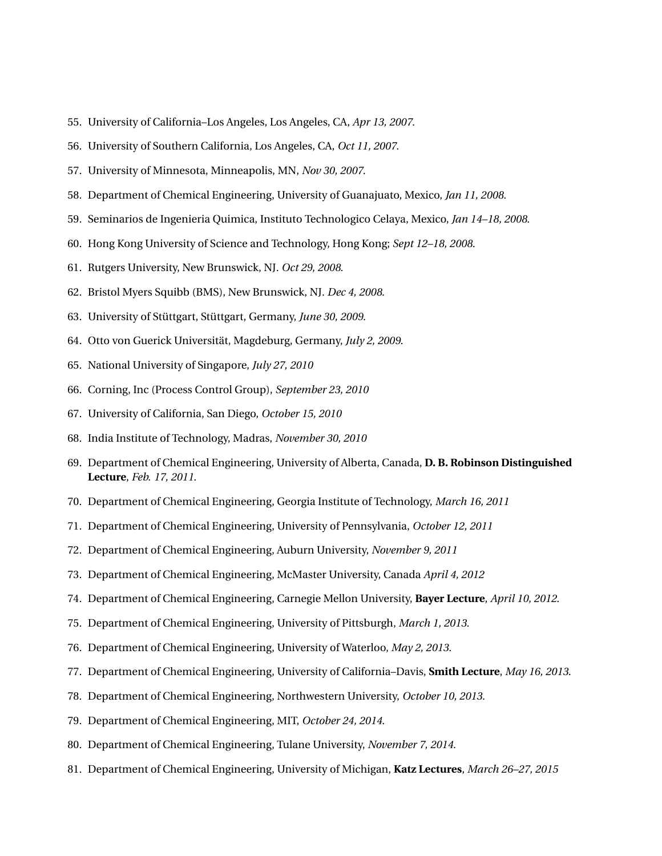- 55. University of California–Los Angeles, Los Angeles, CA, *Apr 13, 2007*.
- 56. University of Southern California, Los Angeles, CA, *Oct 11, 2007*.
- 57. University of Minnesota, Minneapolis, MN, *Nov 30, 2007*.
- 58. Department of Chemical Engineering, University of Guanajuato, Mexico, *Jan 11, 2008*.
- 59. Seminarios de Ingenieria Quimica, Instituto Technologico Celaya, Mexico, *Jan 14–18, 2008*.
- 60. Hong Kong University of Science and Technology, Hong Kong; *Sept 12–18, 2008*.
- 61. Rutgers University, New Brunswick, NJ. *Oct 29, 2008*.
- 62. Bristol Myers Squibb (BMS), New Brunswick, NJ. *Dec 4, 2008*.
- 63. University of Stüttgart, Stüttgart, Germany, *June 30, 2009*.
- 64. Otto von Guerick Universität, Magdeburg, Germany, *July 2, 2009*.
- 65. National University of Singapore, *July 27, 2010*
- 66. Corning, Inc (Process Control Group), *September 23, 2010*
- 67. University of California, San Diego, *October 15, 2010*
- 68. India Institute of Technology, Madras, *November 30, 2010*
- 69. Department of Chemical Engineering, University of Alberta, Canada, **D. B. Robinson Distinguished Lecture**, *Feb. 17, 2011*.
- 70. Department of Chemical Engineering, Georgia Institute of Technology, *March 16, 2011*
- 71. Department of Chemical Engineering, University of Pennsylvania, *October 12, 2011*
- 72. Department of Chemical Engineering, Auburn University, *November 9, 2011*
- 73. Department of Chemical Engineering, McMaster University, Canada *April 4, 2012*
- 74. Department of Chemical Engineering, Carnegie Mellon University, **Bayer Lecture**, *April 10, 2012*.
- 75. Department of Chemical Engineering, University of Pittsburgh, *March 1, 2013*.
- 76. Department of Chemical Engineering, University of Waterloo, *May 2, 2013*.
- 77. Department of Chemical Engineering, University of California–Davis, **Smith Lecture**, *May 16, 2013*.
- 78. Department of Chemical Engineering, Northwestern University, *October 10, 2013*.
- 79. Department of Chemical Engineering, MIT, *October 24, 2014*.
- 80. Department of Chemical Engineering, Tulane University, *November 7, 2014*.
- 81. Department of Chemical Engineering, University of Michigan, **Katz Lectures**, *March 26–27, 2015*